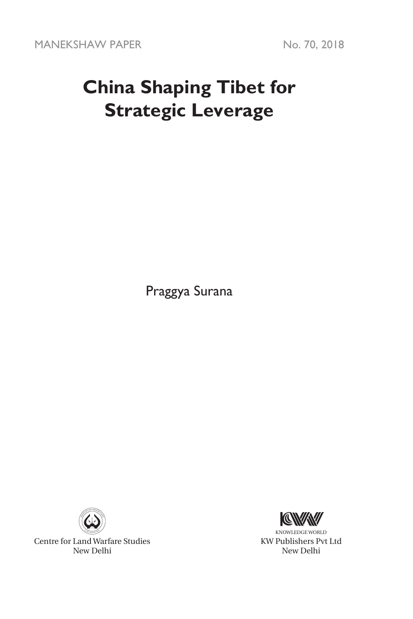MANEKSHAW PAPER No. 70, 2018

# **China Shaping Tibet for Strategic Leverage**

Praggya Surana



Centre for Land Warfare Studies New Delhi



KNOWLEDGE WORLD KW Publishers Pvt Ltd New Delhi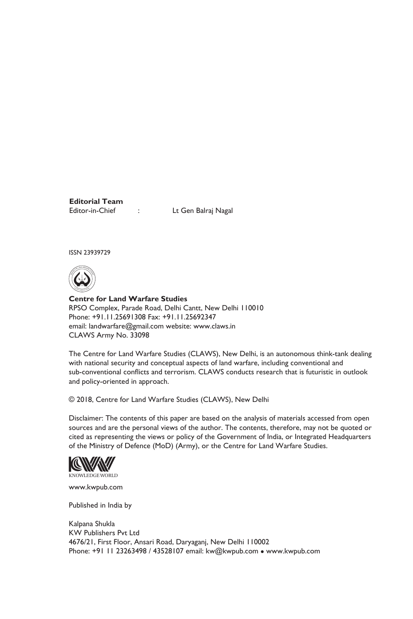**Editorial Team**

Editor-in-Chief : Lt Gen Balraj Nagal

ISSN 23939729



**Centre for Land Warfare Studies**  RPSO Complex, Parade Road, Delhi Cantt, New Delhi 110010 Phone: +91.11.25691308 Fax: +91.11.25692347 email: landwarfare@gmail.com website: www.claws.in CLAWS Army No. 33098

The Centre for Land Warfare Studies (CLAWS), New Delhi, is an autonomous think-tank dealing with national security and conceptual aspects of land warfare, including conventional and sub-conventional conflicts and terrorism. CLAWS conducts research that is futuristic in outlook and policy-oriented in approach.

© 2018, Centre for Land Warfare Studies (CLAWS), New Delhi

Disclaimer: The contents of this paper are based on the analysis of materials accessed from open sources and are the personal views of the author. The contents, therefore, may not be quoted or cited as representing the views or policy of the Government of India, or Integrated Headquarters of the Ministry of Defence (MoD) (Army), or the Centre for Land Warfare Studies.



www.kwpub.com

Published in India by

Kalpana Shukla KW Publishers Pvt Ltd 4676/21, First Floor, Ansari Road, Daryaganj, New Delhi 110002 Phone: +91 11 23263498 / 43528107 email: kw@kwpub.com · www.kwpub.com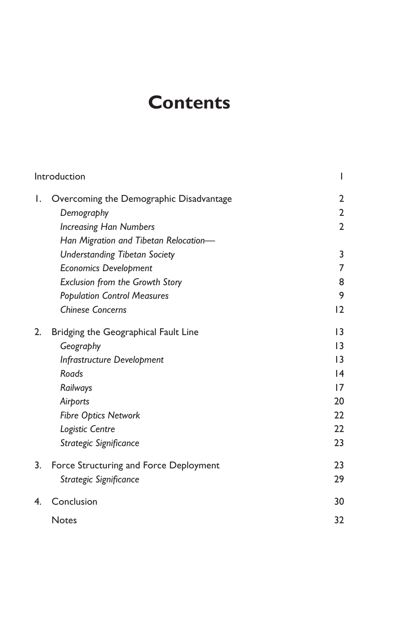# **Contents**

| Introduction |                                         | I               |
|--------------|-----------------------------------------|-----------------|
| I.           | Overcoming the Demographic Disadvantage | 2               |
|              | Demography                              | 2               |
|              | <b>Increasing Han Numbers</b>           | $\overline{2}$  |
|              | Han Migration and Tibetan Relocation-   |                 |
|              | <b>Understanding Tibetan Society</b>    | 3               |
|              | <b>Economics Development</b>            | 7               |
|              | <b>Exclusion from the Growth Story</b>  | 8               |
|              | <b>Population Control Measures</b>      | 9               |
|              | <b>Chinese Concerns</b>                 | 12              |
| 2.           | Bridging the Geographical Fault Line    | 3               |
|              | Geography                               | $\overline{13}$ |
|              | Infrastructure Development              | 13              |
|              | Roads                                   | 14              |
|              | Railways                                | 17              |
|              | Airports                                | 20              |
|              | <b>Fibre Optics Network</b>             | 22              |
|              | Logistic Centre                         | 22              |
|              | Strategic Significance                  | 23              |
| 3.           | Force Structuring and Force Deployment  | 23              |
|              | Strategic Significance                  | 29              |
| 4.           | Conclusion                              | 30              |
|              | <b>Notes</b>                            | 32              |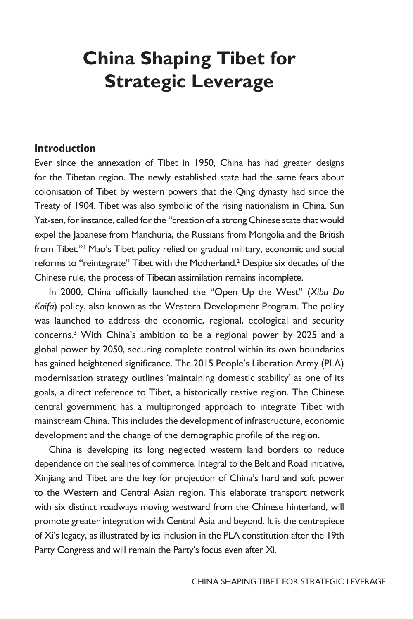# **China Shaping Tibet for Strategic Leverage**

#### **Introduction**

Ever since the annexation of Tibet in 1950, China has had greater designs for the Tibetan region. The newly established state had the same fears about colonisation of Tibet by western powers that the Qing dynasty had since the Treaty of 1904. Tibet was also symbolic of the rising nationalism in China. Sun Yat-sen, for instance, called for the "creation of a strong Chinese state that would expel the Japanese from Manchuria, the Russians from Mongolia and the British from Tibet."<sup>1</sup> Mao's Tibet policy relied on gradual military, economic and social reforms to "reintegrate" Tibet with the Motherland.<sup>2</sup> Despite six decades of the Chinese rule, the process of Tibetan assimilation remains incomplete.

In 2000, China officially launched the "Open Up the West" (*Xibu Da Kaifa*) policy, also known as the Western Development Program. The policy was launched to address the economic, regional, ecological and security concerns.<sup>3</sup> With China's ambition to be a regional power by 2025 and a global power by 2050, securing complete control within its own boundaries has gained heightened significance. The 2015 People's Liberation Army (PLA) modernisation strategy outlines 'maintaining domestic stability' as one of its goals, a direct reference to Tibet, a historically restive region. The Chinese central government has a multipronged approach to integrate Tibet with mainstream China. This includes the development of infrastructure, economic development and the change of the demographic profile of the region.

China is developing its long neglected western land borders to reduce dependence on the sealines of commerce. Integral to the Belt and Road initiative, Xinjiang and Tibet are the key for projection of China's hard and soft power to the Western and Central Asian region. This elaborate transport network with six distinct roadways moving westward from the Chinese hinterland, will promote greater integration with Central Asia and beyond. It is the centrepiece of Xi's legacy, as illustrated by its inclusion in the PLA constitution after the 19th Party Congress and will remain the Party's focus even after Xi.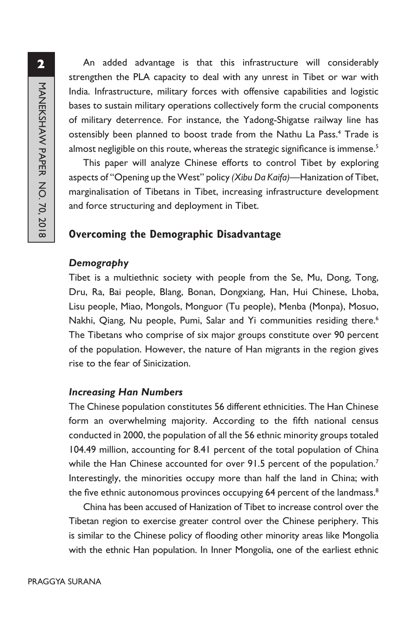An added advantage is that this infrastructure will considerably strengthen the PLA capacity to deal with any unrest in Tibet or war with India. Infrastructure, military forces with offensive capabilities and logistic bases to sustain military operations collectively form the crucial components of military deterrence. For instance, the Yadong-Shigatse railway line has ostensibly been planned to boost trade from the Nathu La Pass.<sup>4</sup> Trade is almost negligible on this route, whereas the strategic significance is immense. $5$ 

This paper will analyze Chinese efforts to control Tibet by exploring aspects of "Opening up the West" policy *(Xibu Da Kaifa)*—Hanization of Tibet, marginalisation of Tibetans in Tibet, increasing infrastructure development and force structuring and deployment in Tibet.

## **Overcoming the Demographic Disadvantage**

#### *Demography*

Tibet is a multiethnic society with people from the Se, Mu, Dong, Tong, Dru, Ra, Bai people, Blang, Bonan, Dongxiang, Han, Hui Chinese, Lhoba, Lisu people, Miao, Mongols, Monguor (Tu people), Menba (Monpa), Mosuo, Nakhi, Qiang, Nu people, Pumi, Salar and Yi communities residing there.<sup>6</sup> The Tibetans who comprise of six major groups constitute over 90 percent of the population. However, the nature of Han migrants in the region gives rise to the fear of Sinicization.

#### *Increasing Han Numbers*

The Chinese population constitutes 56 different ethnicities. The Han Chinese form an overwhelming majority. According to the fifth national census conducted in 2000, the population of all the 56 ethnic minority groups totaled 104.49 million, accounting for 8.41 percent of the total population of China while the Han Chinese accounted for over 91.5 percent of the population.<sup>7</sup> Interestingly, the minorities occupy more than half the land in China; with the five ethnic autonomous provinces occupying 64 percent of the landmass.<sup>8</sup>

China has been accused of Hanization of Tibet to increase control over the Tibetan region to exercise greater control over the Chinese periphery. This is similar to the Chinese policy of flooding other minority areas like Mongolia with the ethnic Han population. In Inner Mongolia, one of the earliest ethnic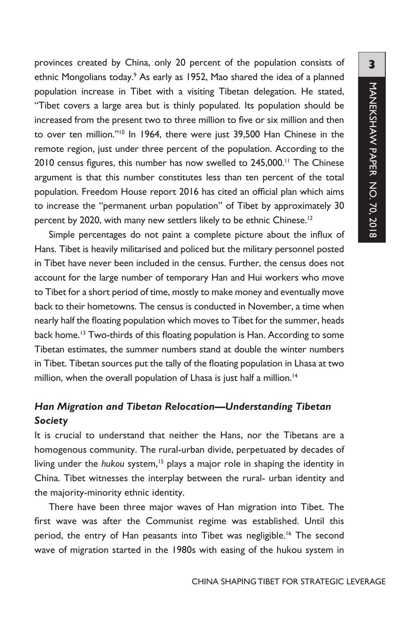provinces created by China, only 20 percent of the population consists of ethnic Mongolians today.<sup>9</sup> As early as 1952, Mao shared the idea of a planned population increase in Tibet with a visiting Tibetan delegation. He stated, "Tibet covers a large area but is thinly populated. Its population should be increased from the present two to three million to five or six million and then to over ten million."10 In 1964, there were just 39,500 Han Chinese in the remote region, just under three percent of the population. According to the 2010 census figures, this number has now swelled to 245,000.<sup>11</sup> The Chinese argument is that this number constitutes less than ten percent of the total population. Freedom House report 2016 has cited an official plan which aims to increase the "permanent urban population" of Tibet by approximately 30 percent by 2020, with many new settlers likely to be ethnic Chinese.<sup>12</sup>

Simple percentages do not paint a complete picture about the influx of Hans. Tibet is heavily militarised and policed but the military personnel posted in Tibet have never been included in the census. Further, the census does not account for the large number of temporary Han and Hui workers who move to Tibet for a short period of time, mostly to make money and eventually move back to their hometowns. The census is conducted in November, a time when nearly half the floating population which moves to Tibet for the summer, heads back home.<sup>13</sup> Two-thirds of this floating population is Han. According to some Tibetan estimates, the summer numbers stand at double the winter numbers in Tibet. Tibetan sources put the tally of the floating population in Lhasa at two million, when the overall population of Lhasa is just half a million.<sup>14</sup>

## *Han Migration and Tibetan Relocation—Understanding Tibetan Society*

It is crucial to understand that neither the Hans, nor the Tibetans are a homogenous community. The rural-urban divide, perpetuated by decades of living under the *hukou* system,<sup>15</sup> plays a major role in shaping the identity in China. Tibet witnesses the interplay between the rural- urban identity and the majority-minority ethnic identity.

There have been three major waves of Han migration into Tibet. The first wave was after the Communist regime was established. Until this period, the entry of Han peasants into Tibet was negligible.<sup>16</sup> The second wave of migration started in the 1980s with easing of the hukou system in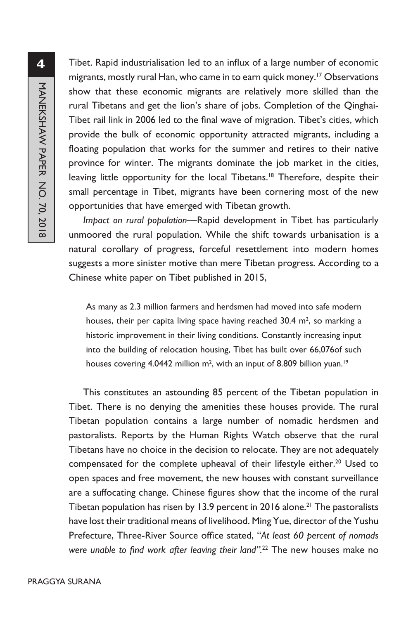Tibet. Rapid industrialisation led to an influx of a large number of economic migrants, mostly rural Han, who came in to earn quick money.<sup>17</sup> Observations show that these economic migrants are relatively more skilled than the rural Tibetans and get the lion's share of jobs. Completion of the Qinghai-Tibet rail link in 2006 led to the final wave of migration. Tibet's cities, which provide the bulk of economic opportunity attracted migrants, including a floating population that works for the summer and retires to their native province for winter. The migrants dominate the job market in the cities, leaving little opportunity for the local Tibetans.<sup>18</sup> Therefore, despite their small percentage in Tibet, migrants have been cornering most of the new opportunities that have emerged with Tibetan growth.

*Impact on rural population*—Rapid development in Tibet has particularly unmoored the rural population. While the shift towards urbanisation is a natural corollary of progress, forceful resettlement into modern homes suggests a more sinister motive than mere Tibetan progress. According to a Chinese white paper on Tibet published in 2015,

As many as 2.3 million farmers and herdsmen had moved into safe modern houses, their per capita living space having reached  $30.4$  m<sup>2</sup>, so marking a historic improvement in their living conditions. Constantly increasing input into the building of relocation housing, Tibet has built over 66,076of such houses covering 4.0442 million  $m^2$ , with an input of 8.809 billion yuan.<sup>19</sup>

This constitutes an astounding 85 percent of the Tibetan population in Tibet. There is no denying the amenities these houses provide. The rural Tibetan population contains a large number of nomadic herdsmen and pastoralists. Reports by the Human Rights Watch observe that the rural Tibetans have no choice in the decision to relocate. They are not adequately compensated for the complete upheaval of their lifestyle either.<sup>20</sup> Used to open spaces and free movement, the new houses with constant surveillance are a suffocating change. Chinese figures show that the income of the rural Tibetan population has risen by 13.9 percent in 2016 alone.<sup>21</sup> The pastoralists have lost their traditional means of livelihood. Ming Yue, director of the Yushu Prefecture, Three-River Source office stated, "*At least 60 percent of nomads were unable to find work after leaving their land".*<sup>22</sup> The new houses make no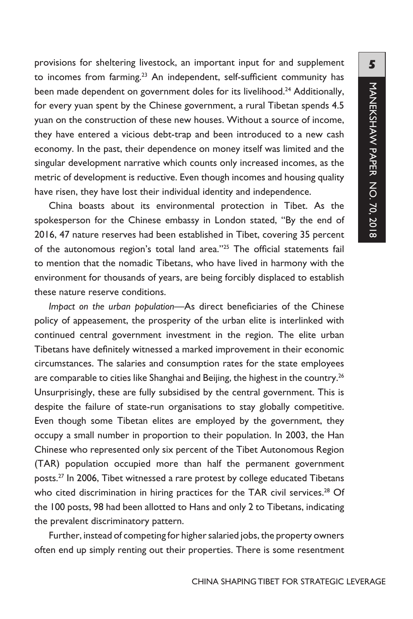provisions for sheltering livestock, an important input for and supplement to incomes from farming.<sup>23</sup> An independent, self-sufficient community has been made dependent on government doles for its livelihood.<sup>24</sup> Additionally, for every yuan spent by the Chinese government, a rural Tibetan spends 4.5 yuan on the construction of these new houses. Without a source of income, they have entered a vicious debt-trap and been introduced to a new cash economy. In the past, their dependence on money itself was limited and the singular development narrative which counts only increased incomes, as the metric of development is reductive. Even though incomes and housing quality have risen, they have lost their individual identity and independence.

China boasts about its environmental protection in Tibet. As the spokesperson for the Chinese embassy in London stated, "By the end of 2016, 47 nature reserves had been established in Tibet, covering 35 percent of the autonomous region's total land area."25 The official statements fail to mention that the nomadic Tibetans, who have lived in harmony with the environment for thousands of years, are being forcibly displaced to establish these nature reserve conditions.

*Impact on the urban population*—As direct beneficiaries of the Chinese policy of appeasement, the prosperity of the urban elite is interlinked with continued central government investment in the region. The elite urban Tibetans have definitely witnessed a marked improvement in their economic circumstances. The salaries and consumption rates for the state employees are comparable to cities like Shanghai and Beijing, the highest in the country.<sup>26</sup> Unsurprisingly, these are fully subsidised by the central government. This is despite the failure of state-run organisations to stay globally competitive. Even though some Tibetan elites are employed by the government, they occupy a small number in proportion to their population. In 2003, the Han Chinese who represented only six percent of the Tibet Autonomous Region (TAR) population occupied more than half the permanent government posts.27 In 2006, Tibet witnessed a rare protest by college educated Tibetans who cited discrimination in hiring practices for the TAR civil services.<sup>28</sup> Of the 100 posts, 98 had been allotted to Hans and only 2 to Tibetans, indicating the prevalent discriminatory pattern.

Further, instead of competing for higher salaried jobs, the property owners often end up simply renting out their properties. There is some resentment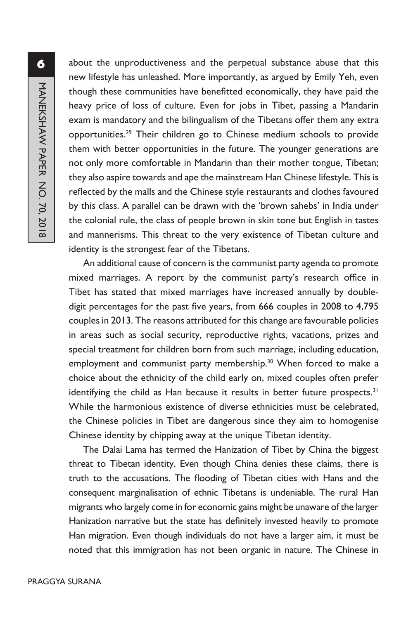about the unproductiveness and the perpetual substance abuse that this new lifestyle has unleashed. More importantly, as argued by Emily Yeh, even though these communities have benefitted economically, they have paid the heavy price of loss of culture. Even for jobs in Tibet, passing a Mandarin exam is mandatory and the bilingualism of the Tibetans offer them any extra opportunities.29 Their children go to Chinese medium schools to provide them with better opportunities in the future. The younger generations are not only more comfortable in Mandarin than their mother tongue, Tibetan; they also aspire towards and ape the mainstream Han Chinese lifestyle. This is reflected by the malls and the Chinese style restaurants and clothes favoured by this class. A parallel can be drawn with the 'brown sahebs' in India under the colonial rule, the class of people brown in skin tone but English in tastes and mannerisms. This threat to the very existence of Tibetan culture and identity is the strongest fear of the Tibetans.

An additional cause of concern is the communist party agenda to promote mixed marriages. A report by the communist party's research office in Tibet has stated that mixed marriages have increased annually by doubledigit percentages for the past five years, from 666 couples in 2008 to 4,795 couples in 2013. The reasons attributed for this change are favourable policies in areas such as social security, reproductive rights, vacations, prizes and special treatment for children born from such marriage, including education, employment and communist party membership.<sup>30</sup> When forced to make a choice about the ethnicity of the child early on, mixed couples often prefer identifying the child as Han because it results in better future prospects.<sup>31</sup> While the harmonious existence of diverse ethnicities must be celebrated, the Chinese policies in Tibet are dangerous since they aim to homogenise Chinese identity by chipping away at the unique Tibetan identity.

The Dalai Lama has termed the Hanization of Tibet by China the biggest threat to Tibetan identity. Even though China denies these claims, there is truth to the accusations. The flooding of Tibetan cities with Hans and the consequent marginalisation of ethnic Tibetans is undeniable. The rural Han migrants who largely come in for economic gains might be unaware of the larger Hanization narrative but the state has definitely invested heavily to promote Han migration. Even though individuals do not have a larger aim, it must be noted that this immigration has not been organic in nature. The Chinese in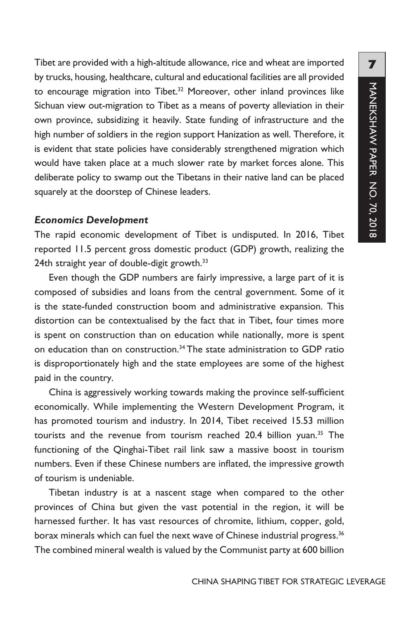Tibet are provided with a high-altitude allowance, rice and wheat are imported by trucks, housing, healthcare, cultural and educational facilities are all provided to encourage migration into Tibet.<sup>32</sup> Moreover, other inland provinces like Sichuan view out-migration to Tibet as a means of poverty alleviation in their own province, subsidizing it heavily. State funding of infrastructure and the high number of soldiers in the region support Hanization as well. Therefore, it is evident that state policies have considerably strengthened migration which would have taken place at a much slower rate by market forces alone. This deliberate policy to swamp out the Tibetans in their native land can be placed squarely at the doorstep of Chinese leaders.

#### *Economics Development*

The rapid economic development of Tibet is undisputed. In 2016, Tibet reported 11.5 percent gross domestic product (GDP) growth, realizing the 24th straight year of double-digit growth.<sup>33</sup>

Even though the GDP numbers are fairly impressive, a large part of it is composed of subsidies and loans from the central government. Some of it is the state-funded construction boom and administrative expansion. This distortion can be contextualised by the fact that in Tibet, four times more is spent on construction than on education while nationally, more is spent on education than on construction.<sup>34</sup> The state administration to GDP ratio is disproportionately high and the state employees are some of the highest paid in the country.

China is aggressively working towards making the province self-sufficient economically. While implementing the Western Development Program, it has promoted tourism and industry. In 2014, Tibet received 15.53 million tourists and the revenue from tourism reached 20.4 billion yuan.<sup>35</sup> The functioning of the Qinghai-Tibet rail link saw a massive boost in tourism numbers. Even if these Chinese numbers are inflated, the impressive growth of tourism is undeniable.

Tibetan industry is at a nascent stage when compared to the other provinces of China but given the vast potential in the region, it will be harnessed further. It has vast resources of chromite, lithium, copper, gold, borax minerals which can fuel the next wave of Chinese industrial progress.<sup>36</sup> The combined mineral wealth is valued by the Communist party at 600 billion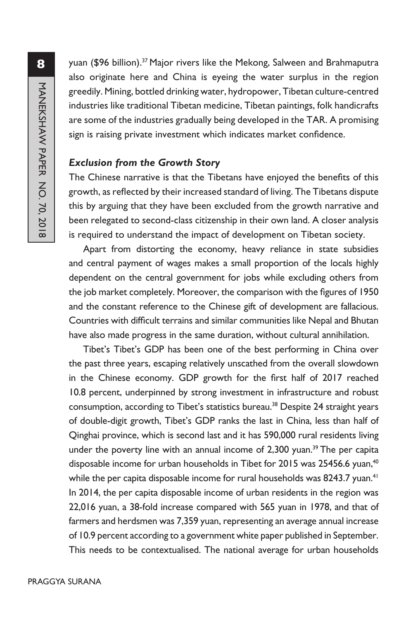yuan (\$96 billion).<sup>37</sup> Major rivers like the Mekong, Salween and Brahmaputra also originate here and China is eyeing the water surplus in the region greedily. Mining, bottled drinking water, hydropower, Tibetan culture-centred industries like traditional Tibetan medicine, Tibetan paintings, folk handicrafts are some of the industries gradually being developed in the TAR. A promising sign is raising private investment which indicates market confidence.

#### *Exclusion from the Growth Story*

The Chinese narrative is that the Tibetans have enjoyed the benefits of this growth, as reflected by their increased standard of living. The Tibetans dispute this by arguing that they have been excluded from the growth narrative and been relegated to second-class citizenship in their own land. A closer analysis is required to understand the impact of development on Tibetan society.

Apart from distorting the economy, heavy reliance in state subsidies and central payment of wages makes a small proportion of the locals highly dependent on the central government for jobs while excluding others from the job market completely. Moreover, the comparison with the figures of 1950 and the constant reference to the Chinese gift of development are fallacious. Countries with difficult terrains and similar communities like Nepal and Bhutan have also made progress in the same duration, without cultural annihilation.

Tibet's Tibet's GDP has been one of the best performing in China over the past three years, escaping relatively unscathed from the overall slowdown in the Chinese economy. GDP growth for the first half of 2017 reached 10.8 percent, underpinned by strong investment in infrastructure and robust consumption, according to Tibet's statistics bureau.<sup>38</sup> Despite 24 straight years of double-digit growth, Tibet's GDP ranks the last in China, less than half of Qinghai province, which is second last and it has 590,000 rural residents living under the poverty line with an annual income of  $2,300$  yuan.<sup>39</sup> The per capita disposable income for urban households in Tibet for 2015 was 25456.6 yuan,<sup>40</sup> while the per capita disposable income for rural households was 8243.7 yuan.<sup>41</sup> In 2014, the per capita disposable income of urban residents in the region was 22,016 yuan, a 38-fold increase compared with 565 yuan in 1978, and that of farmers and herdsmen was 7,359 yuan, representing an average annual increase of 10.9 percent according to a government white paper published in September. This needs to be contextualised. The national average for urban households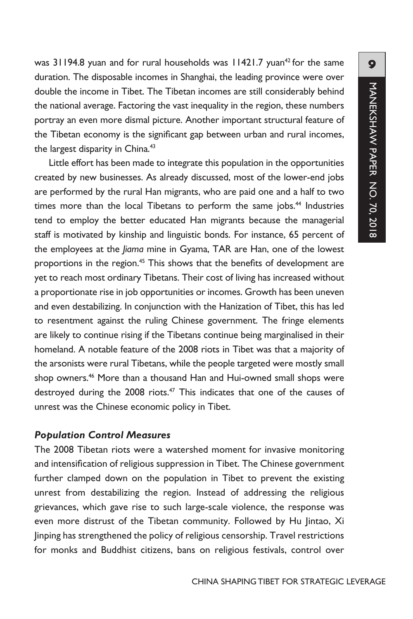was  $31194.8$  yuan and for rural households was  $11421.7$  yuan<sup>42</sup> for the same duration. The disposable incomes in Shanghai, the leading province were over double the income in Tibet. The Tibetan incomes are still considerably behind the national average. Factoring the vast inequality in the region, these numbers portray an even more dismal picture. Another important structural feature of the Tibetan economy is the significant gap between urban and rural incomes, the largest disparity in China.<sup>43</sup>

Little effort has been made to integrate this population in the opportunities created by new businesses. As already discussed, most of the lower-end jobs are performed by the rural Han migrants, who are paid one and a half to two times more than the local Tibetans to perform the same jobs.<sup>44</sup> Industries tend to employ the better educated Han migrants because the managerial staff is motivated by kinship and linguistic bonds. For instance, 65 percent of the employees at the *Jiama* mine in Gyama, TAR are Han, one of the lowest proportions in the region.<sup>45</sup> This shows that the benefits of development are yet to reach most ordinary Tibetans. Their cost of living has increased without a proportionate rise in job opportunities or incomes. Growth has been uneven and even destabilizing. In conjunction with the Hanization of Tibet, this has led to resentment against the ruling Chinese government. The fringe elements are likely to continue rising if the Tibetans continue being marginalised in their homeland. A notable feature of the 2008 riots in Tibet was that a majority of the arsonists were rural Tibetans, while the people targeted were mostly small shop owners.<sup>46</sup> More than a thousand Han and Hui-owned small shops were destroyed during the  $2008$  riots.<sup>47</sup> This indicates that one of the causes of unrest was the Chinese economic policy in Tibet.

#### *Population Control Measures*

The 2008 Tibetan riots were a watershed moment for invasive monitoring and intensification of religious suppression in Tibet. The Chinese government further clamped down on the population in Tibet to prevent the existing unrest from destabilizing the region. Instead of addressing the religious grievances, which gave rise to such large-scale violence, the response was even more distrust of the Tibetan community. Followed by Hu Jintao, Xi Jinping has strengthened the policy of religious censorship. Travel restrictions for monks and Buddhist citizens, bans on religious festivals, control over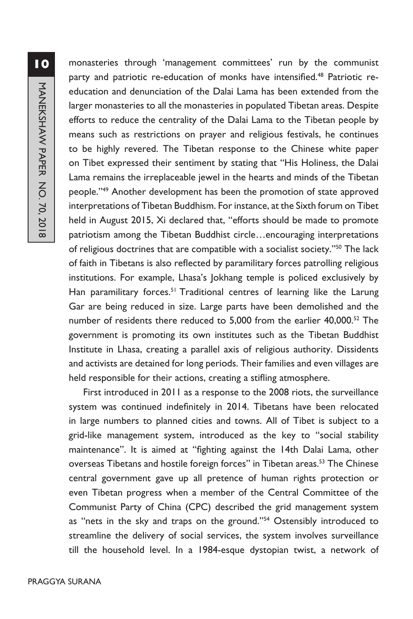monasteries through 'management committees' run by the communist party and patriotic re-education of monks have intensified.<sup>48</sup> Patriotic reeducation and denunciation of the Dalai Lama has been extended from the larger monasteries to all the monasteries in populated Tibetan areas. Despite efforts to reduce the centrality of the Dalai Lama to the Tibetan people by means such as restrictions on prayer and religious festivals, he continues to be highly revered. The Tibetan response to the Chinese white paper on Tibet expressed their sentiment by stating that "His Holiness, the Dalai Lama remains the irreplaceable jewel in the hearts and minds of the Tibetan people."<sup>49</sup> Another development has been the promotion of state approved interpretations of Tibetan Buddhism. For instance, at the Sixth forum on Tibet held in August 2015, Xi declared that, "efforts should be made to promote patriotism among the Tibetan Buddhist circle…encouraging interpretations of religious doctrines that are compatible with a socialist society."<sup>50</sup> The lack of faith in Tibetans is also reflected by paramilitary forces patrolling religious institutions. For example, Lhasa's Jokhang temple is policed exclusively by Han paramilitary forces.<sup>51</sup> Traditional centres of learning like the Larung Gar are being reduced in size. Large parts have been demolished and the number of residents there reduced to 5,000 from the earlier 40,000.<sup>52</sup> The government is promoting its own institutes such as the Tibetan Buddhist Institute in Lhasa, creating a parallel axis of religious authority. Dissidents and activists are detained for long periods. Their families and even villages are held responsible for their actions, creating a stifling atmosphere.

First introduced in 2011 as a response to the 2008 riots, the surveillance system was continued indefinitely in 2014. Tibetans have been relocated in large numbers to planned cities and towns. All of Tibet is subject to a grid-like management system, introduced as the key to "social stability maintenance". It is aimed at "fighting against the 14th Dalai Lama, other overseas Tibetans and hostile foreign forces" in Tibetan areas.<sup>53</sup> The Chinese central government gave up all pretence of human rights protection or even Tibetan progress when a member of the Central Committee of the Communist Party of China (CPC) described the grid management system as "nets in the sky and traps on the ground."<sup>54</sup> Ostensibly introduced to streamline the delivery of social services, the system involves surveillance till the household level. In a 1984-esque dystopian twist, a network of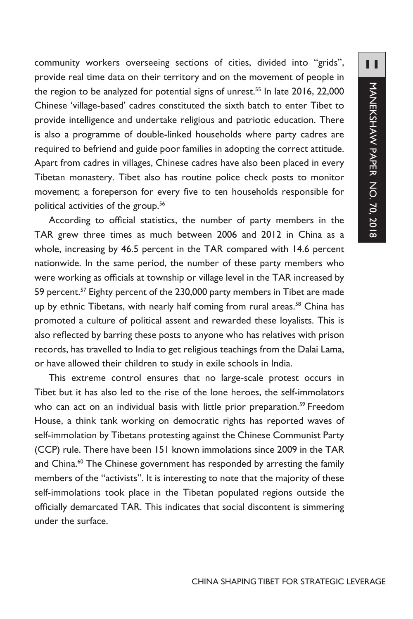community workers overseeing sections of cities, divided into "grids", provide real time data on their territory and on the movement of people in the region to be analyzed for potential signs of unrest.<sup>55</sup> In late 2016, 22,000 Chinese 'village-based' cadres constituted the sixth batch to enter Tibet to provide intelligence and undertake religious and patriotic education. There is also a programme of double-linked households where party cadres are required to befriend and guide poor families in adopting the correct attitude. Apart from cadres in villages, Chinese cadres have also been placed in every Tibetan monastery. Tibet also has routine police check posts to monitor movement; a foreperson for every five to ten households responsible for political activities of the group.<sup>56</sup>

According to official statistics, the number of party members in the TAR grew three times as much between 2006 and 2012 in China as a whole, increasing by 46.5 percent in the TAR compared with 14.6 percent nationwide. In the same period, the number of these party members who were working as officials at township or village level in the TAR increased by 59 percent.<sup>57</sup> Eighty percent of the 230,000 party members in Tibet are made up by ethnic Tibetans, with nearly half coming from rural areas.<sup>58</sup> China has promoted a culture of political assent and rewarded these loyalists. This is also reflected by barring these posts to anyone who has relatives with prison records, has travelled to India to get religious teachings from the Dalai Lama, or have allowed their children to study in exile schools in India.

This extreme control ensures that no large-scale protest occurs in Tibet but it has also led to the rise of the lone heroes, the self-immolators who can act on an individual basis with little prior preparation.<sup>59</sup> Freedom House, a think tank working on democratic rights has reported waves of self-immolation by Tibetans protesting against the Chinese Communist Party (CCP) rule. There have been 151 known immolations since 2009 in the TAR and China.<sup>60</sup> The Chinese government has responded by arresting the family members of the "activists". It is interesting to note that the majority of these self-immolations took place in the Tibetan populated regions outside the officially demarcated TAR. This indicates that social discontent is simmering under the surface.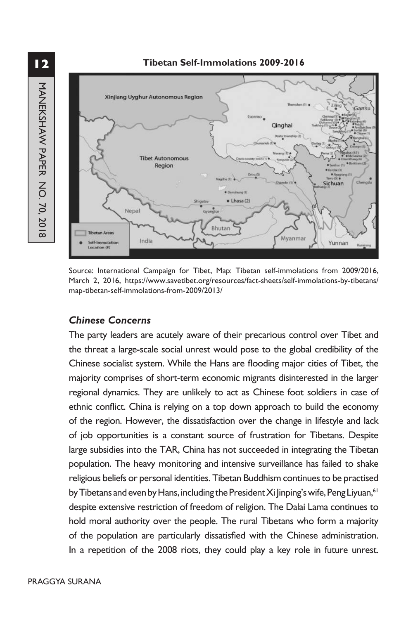**12**MANEKSHAW PAPER NO. 70, 2018 MANEKSHAW PAPER NO. 70, 2018



Source: International Campaign for Tibet, Map: Tibetan self-immolations from 2009/2016, March 2, 2016, https://www.savetibet.org/resources/fact-sheets/self-immolations-by-tibetans/ map-tibetan-self-immolations-from-2009/2013/

#### *Chinese Concerns*

The party leaders are acutely aware of their precarious control over Tibet and the threat a large-scale social unrest would pose to the global credibility of the Chinese socialist system. While the Hans are flooding major cities of Tibet, the majority comprises of short-term economic migrants disinterested in the larger regional dynamics. They are unlikely to act as Chinese foot soldiers in case of ethnic conflict. China is relying on a top down approach to build the economy of the region. However, the dissatisfaction over the change in lifestyle and lack of job opportunities is a constant source of frustration for Tibetans. Despite large subsidies into the TAR, China has not succeeded in integrating the Tibetan population. The heavy monitoring and intensive surveillance has failed to shake religious beliefs or personal identities. Tibetan Buddhism continues to be practised by Tibetans and even by Hans, including the President Xi Jinping's wife, Peng Liyuan,<sup>61</sup> despite extensive restriction of freedom of religion. The Dalai Lama continues to hold moral authority over the people. The rural Tibetans who form a majority of the population are particularly dissatisfied with the Chinese administration. In a repetition of the 2008 riots, they could play a key role in future unrest.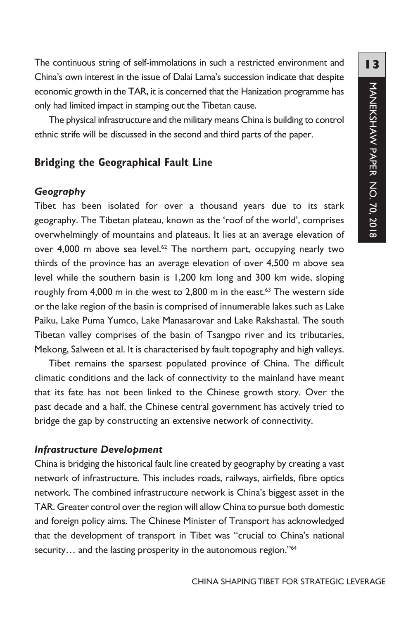The continuous string of self-immolations in such a restricted environment and China's own interest in the issue of Dalai Lama's succession indicate that despite economic growth in the TAR, it is concerned that the Hanization programme has only had limited impact in stamping out the Tibetan cause.

The physical infrastructure and the military means China is building to control ethnic strife will be discussed in the second and third parts of the paper.

## **Bridging the Geographical Fault Line**

#### *Geography*

Tibet has been isolated for over a thousand years due to its stark geography. The Tibetan plateau, known as the 'roof of the world', comprises overwhelmingly of mountains and plateaus. It lies at an average elevation of over 4,000 m above sea level.<sup>62</sup> The northern part, occupying nearly two thirds of the province has an average elevation of over 4,500 m above sea level while the southern basin is 1,200 km long and 300 km wide, sloping roughly from 4,000 m in the west to 2,800 m in the east.<sup>63</sup> The western side or the lake region of the basin is comprised of innumerable lakes such as Lake Paiku, Lake Puma Yumco, Lake Manasarovar and Lake Rakshastal. The south Tibetan valley comprises of the basin of Tsangpo river and its tributaries, Mekong, Salween et al. It is characterised by fault topography and high valleys.

Tibet remains the sparsest populated province of China. The difficult climatic conditions and the lack of connectivity to the mainland have meant that its fate has not been linked to the Chinese growth story. Over the past decade and a half, the Chinese central government has actively tried to bridge the gap by constructing an extensive network of connectivity.

#### *Infrastructure Development*

China is bridging the historical fault line created by geography by creating a vast network of infrastructure. This includes roads, railways, airfields, fibre optics network. The combined infrastructure network is China's biggest asset in the TAR. Greater control over the region will allow China to pursue both domestic and foreign policy aims. The Chinese Minister of Transport has acknowledged that the development of transport in Tibet was "crucial to China's national security... and the lasting prosperity in the autonomous region."<sup>64</sup>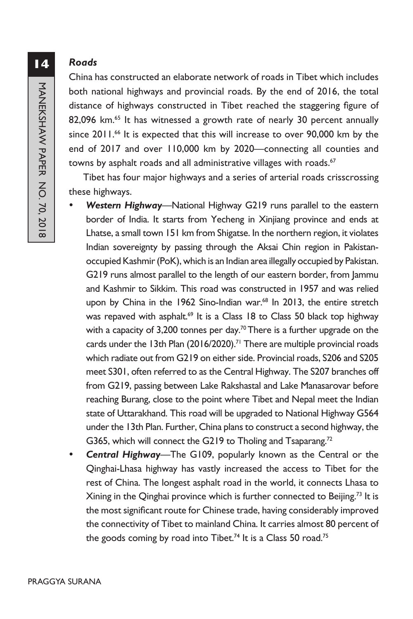#### *Roads*

China has constructed an elaborate network of roads in Tibet which includes both national highways and provincial roads. By the end of 2016, the total distance of highways constructed in Tibet reached the staggering figure of 82,096 km.<sup>65</sup> It has witnessed a growth rate of nearly 30 percent annually since 2011.<sup>66</sup> It is expected that this will increase to over 90,000 km by the end of 2017 and over 110,000 km by 2020—connecting all counties and towns by asphalt roads and all administrative villages with roads.<sup>67</sup>

Tibet has four major highways and a series of arterial roads crisscrossing these highways.

- Western Highway—National Highway G219 runs parallel to the eastern border of India. It starts from Yecheng in Xinjiang province and ends at Lhatse, a small town 151 km from Shigatse. In the northern region, it violates Indian sovereignty by passing through the Aksai Chin region in Pakistanoccupied Kashmir (PoK), which is an Indian area illegally occupied by Pakistan. G219 runs almost parallel to the length of our eastern border, from Jammu and Kashmir to Sikkim. This road was constructed in 1957 and was relied upon by China in the 1962 Sino-Indian war.<sup>68</sup> In 2013, the entire stretch was repaved with asphalt.<sup>69</sup> It is a Class 18 to Class 50 black top highway with a capacity of 3,200 tonnes per day.<sup>70</sup> There is a further upgrade on the cards under the 13th Plan (2016/2020).<sup>71</sup> There are multiple provincial roads which radiate out from G219 on either side. Provincial roads, S206 and S205 meet S301, often referred to as the Central Highway. The S207 branches off from G219, passing between Lake Rakshastal and Lake Manasarovar before reaching Burang, close to the point where Tibet and Nepal meet the Indian state of Uttarakhand. This road will be upgraded to National Highway G564 under the 13th Plan. Further, China plans to construct a second highway, the G365, which will connect the G219 to Tholing and Tsaparang.<sup>72</sup>
- **Central Highway—The G109, popularly known as the Central or the** Qinghai-Lhasa highway has vastly increased the access to Tibet for the rest of China. The longest asphalt road in the world, it connects Lhasa to Xining in the Qinghai province which is further connected to Beijing.<sup>73</sup> It is the most significant route for Chinese trade, having considerably improved the connectivity of Tibet to mainland China. It carries almost 80 percent of the goods coming by road into Tibet.<sup>74</sup> It is a Class 50 road.<sup>75</sup>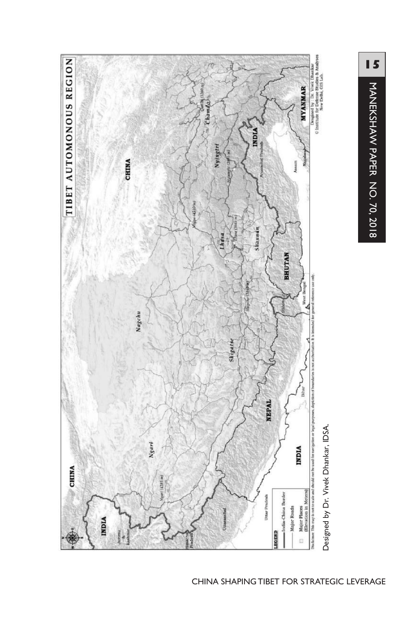

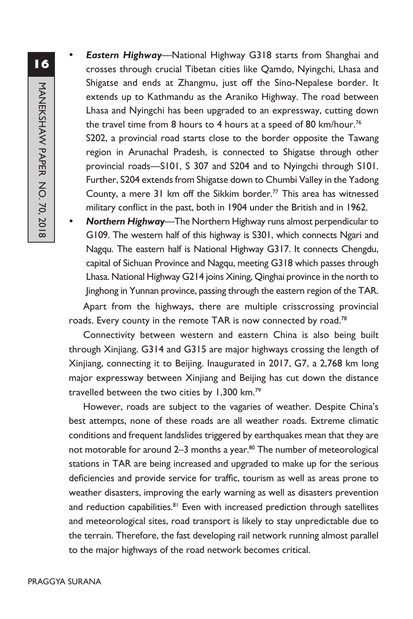**Eastern Highway**—National Highway G318 starts from Shanghai and crosses through crucial Tibetan cities like Qamdo, Nyingchi, Lhasa and Shigatse and ends at Zhangmu, just off the Sino-Nepalese border. It extends up to Kathmandu as the Araniko Highway. The road between Lhasa and Nyingchi has been upgraded to an expressway, cutting down the travel time from 8 hours to 4 hours at a speed of 80 km/hour.<sup>76</sup> S202, a provincial road starts close to the border opposite the Tawang region in Arunachal Pradesh, is connected to Shigatse through other

provincial roads—S101, S 307 and S204 and to Nyingchi through S101. Further, S204 extends from Shigatse down to Chumbi Valley in the Yadong County, a mere 31 km off the Sikkim border.77 This area has witnessed military conflict in the past, both in 1904 under the British and in 1962.

Northern Highway—The Northern Highway runs almost perpendicular to G109. The western half of this highway is S301, which connects Ngari and Nagqu. The eastern half is National Highway G317. It connects Chengdu, capital of Sichuan Province and Nagqu, meeting G318 which passes through Lhasa. National Highway G214 joins Xining, Qinghai province in the north to Jinghong in Yunnan province, passing through the eastern region of the TAR.

Apart from the highways, there are multiple crisscrossing provincial roads. Every county in the remote TAR is now connected by road.<sup>78</sup>

Connectivity between western and eastern China is also being built through Xinjiang. G314 and G315 are major highways crossing the length of Xinjiang, connecting it to Beijing. Inaugurated in 2017, G7, a 2,768 km long major expressway between Xinjiang and Beijing has cut down the distance travelled between the two cities by 1,300 km.<sup>79</sup>

However, roads are subject to the vagaries of weather. Despite China's best attempts, none of these roads are all weather roads. Extreme climatic conditions and frequent landslides triggered by earthquakes mean that they are not motorable for around 2-3 months a year.<sup>80</sup> The number of meteorological stations in TAR are being increased and upgraded to make up for the serious deficiencies and provide service for traffic, tourism as well as areas prone to weather disasters, improving the early warning as well as disasters prevention and reduction capabilities.<sup>81</sup> Even with increased prediction through satellites and meteorological sites, road transport is likely to stay unpredictable due to the terrain. Therefore, the fast developing rail network running almost parallel to the major highways of the road network becomes critical.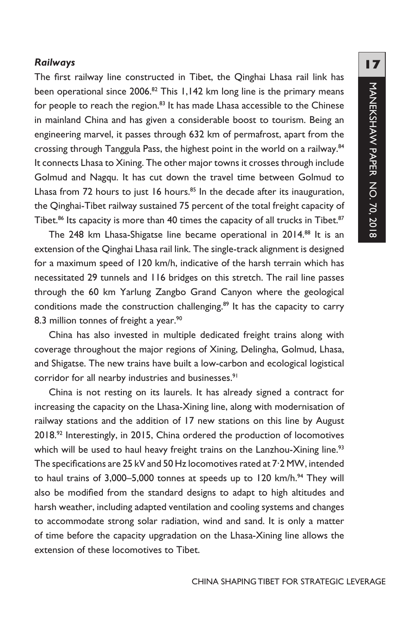#### *Railways*

The first railway line constructed in Tibet, the Qinghai Lhasa rail link has been operational since 2006.<sup>82</sup> This 1,142 km long line is the primary means for people to reach the region.<sup>83</sup> It has made Lhasa accessible to the Chinese in mainland China and has given a considerable boost to tourism. Being an engineering marvel, it passes through 632 km of permafrost, apart from the crossing through Tanggula Pass, the highest point in the world on a railway.84 It connects Lhasa to Xining. The other major towns it crosses through include Golmud and Nagqu. It has cut down the travel time between Golmud to Lhasa from 72 hours to just 16 hours. $85$  In the decade after its inauguration, the Qinghai-Tibet railway sustained 75 percent of the total freight capacity of Tibet.<sup>86</sup> Its capacity is more than 40 times the capacity of all trucks in Tibet.<sup>87</sup>

The 248 km Lhasa-Shigatse line became operational in 2014.88 It is an extension of the Qinghai Lhasa rail link. The single-track alignment is designed for a maximum speed of 120 km/h, indicative of the harsh terrain which has necessitated 29 tunnels and 116 bridges on this stretch. The rail line passes through the 60 km Yarlung Zangbo Grand Canyon where the geological conditions made the construction challenging.<sup>89</sup> It has the capacity to carry 8.3 million tonnes of freight a year.<sup>90</sup>

China has also invested in multiple dedicated freight trains along with coverage throughout the major regions of Xining, Delingha, Golmud, Lhasa, and Shigatse. The new trains have built a low-carbon and ecological logistical corridor for all nearby industries and businesses.<sup>91</sup>

China is not resting on its laurels. It has already signed a contract for increasing the capacity on the Lhasa-Xining line, along with modernisation of railway stations and the addition of 17 new stations on this line by August 2018.92 Interestingly, in 2015, China ordered the production of locomotives which will be used to haul heavy freight trains on the Lanzhou-Xining line.<sup>93</sup> The specifications are 25 kV and 50 Hz locomotives rated at 7·2 MW, intended to haul trains of  $3,000-5,000$  tonnes at speeds up to 120 km/h.<sup>94</sup> They will also be modified from the standard designs to adapt to high altitudes and harsh weather, including adapted ventilation and cooling systems and changes to accommodate strong solar radiation, wind and sand. It is only a matter of time before the capacity upgradation on the Lhasa-Xining line allows the extension of these locomotives to Tibet.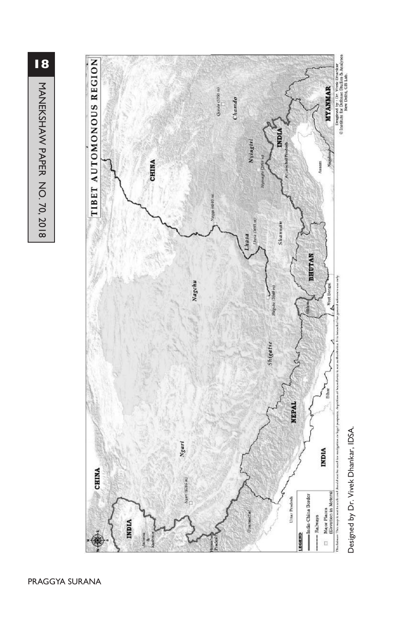**18**MANEKSHAW PAPER NO. 70, 2018 MANEKSHAW PAPER NO. 70, 2018



Designed by Dr. Vivek Dhankar, IDSA. Designed by Dr. Vivek Dhankar, IDSA.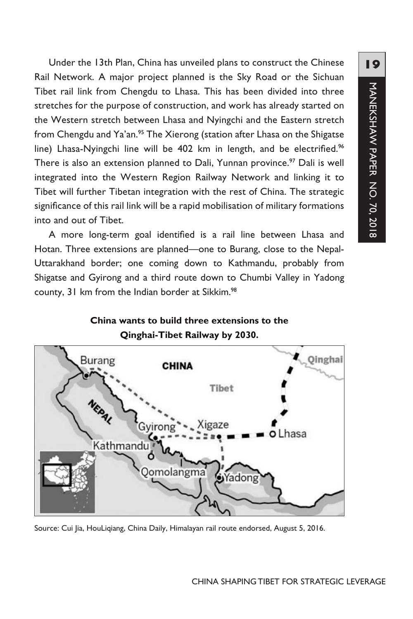Under the 13th Plan, China has unveiled plans to construct the Chinese Rail Network. A major project planned is the Sky Road or the Sichuan Tibet rail link from Chengdu to Lhasa. This has been divided into three stretches for the purpose of construction, and work has already started on the Western stretch between Lhasa and Nyingchi and the Eastern stretch from Chengdu and Ya'an.<sup>95</sup> The Xierong (station after Lhasa on the Shigatse line) Lhasa-Nyingchi line will be 402 km in length, and be electrified.<sup>96</sup> There is also an extension planned to Dali, Yunnan province.<sup>97</sup> Dali is well integrated into the Western Region Railway Network and linking it to Tibet will further Tibetan integration with the rest of China. The strategic significance of this rail link will be a rapid mobilisation of military formations into and out of Tibet.

A more long-term goal identified is a rail line between Lhasa and Hotan. Three extensions are planned—one to Burang, close to the Nepal-Uttarakhand border; one coming down to Kathmandu, probably from Shigatse and Gyirong and a third route down to Chumbi Valley in Yadong county, 31 km from the Indian border at Sikkim.<sup>98</sup>





Source: Cui Jia, HouLiqiang, China Daily, Himalayan rail route endorsed, August 5, 2016.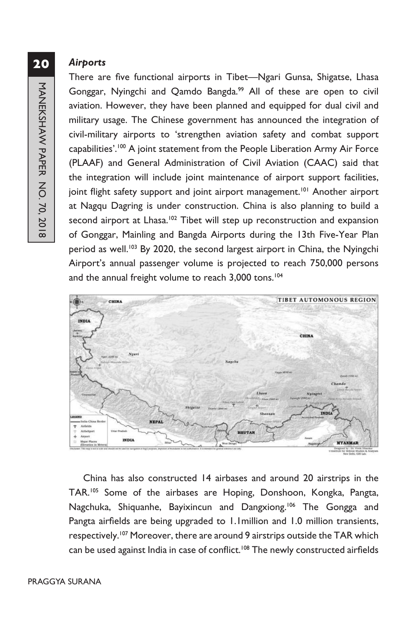#### *Airports*

There are five functional airports in Tibet—Ngari Gunsa, Shigatse, Lhasa Gonggar, Nyingchi and Qamdo Bangda.<sup>99</sup> All of these are open to civil aviation. However, they have been planned and equipped for dual civil and military usage. The Chinese government has announced the integration of civil-military airports to 'strengthen aviation safety and combat support capabilities'.100 A joint statement from the People Liberation Army Air Force (PLAAF) and General Administration of Civil Aviation (CAAC) said that the integration will include joint maintenance of airport support facilities, joint flight safety support and joint airport management.<sup>101</sup> Another airport at Nagqu Dagring is under construction. China is also planning to build a second airport at Lhasa.<sup>102</sup> Tibet will step up reconstruction and expansion of Gonggar, Mainling and Bangda Airports during the 13th Five-Year Plan period as well.<sup>103</sup> By 2020, the second largest airport in China, the Nyingchi Airport's annual passenger volume is projected to reach 750,000 persons and the annual freight volume to reach 3,000 tons.<sup>104</sup>



China has also constructed 14 airbases and around 20 airstrips in the TAR.105 Some of the airbases are Hoping, Donshoon, Kongka, Pangta, Nagchuka, Shiquanhe, Bayixincun and Dangxiong.<sup>106</sup> The Gongga and Pangta airfields are being upgraded to 1.1million and 1.0 million transients, respectively.<sup>107</sup> Moreover, there are around 9 airstrips outside the TAR which can be used against India in case of conflict.<sup>108</sup> The newly constructed airfields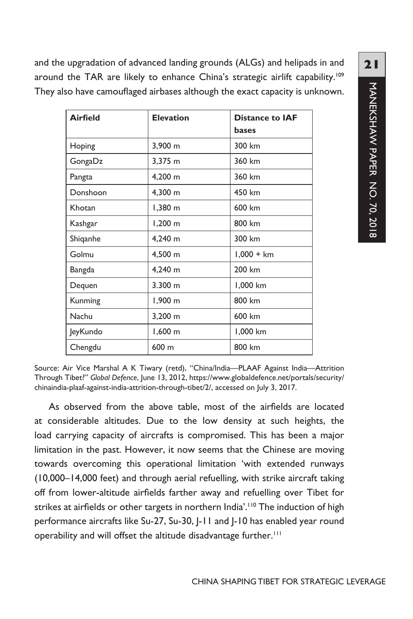and the upgradation of advanced landing grounds (ALGs) and helipads in and around the TAR are likely to enhance China's strategic airlift capability.<sup>109</sup> They also have camouflaged airbases although the exact capacity is unknown.

| <b>Airfield</b> | <b>Elevation</b> | <b>Distance to IAF</b> |
|-----------------|------------------|------------------------|
|                 |                  | bases                  |
| Hoping          | 3,900 m          | 300 km                 |
| GongaDz         | 3,375 m          | 360 km                 |
| Pangta          | 4,200 m          | 360 km                 |
| Donshoon        | 4,300 m          | 450 km                 |
| Khotan          | 1,380 m          | 600 km                 |
| Kashgar         | $1,200 \; m$     | 800 km                 |
| Shiqanhe        | 4,240 m          | 300 km                 |
| Golmu           | 4,500 m          | $1,000 + km$           |
| Bangda          | 4,240 m          | 200 km                 |
| Dequen          | 3.300 m          | 1,000 km               |
| Kunming         | 1,900 m          | 800 km                 |
| Nachu           | 3,200 m          | 600 km                 |
| JeyKundo        | $1,600 \; m$     | 1,000 km               |
| Chengdu         | 600 m            | 800 km                 |

**21**MANEKSHAW PAPER NO. 70, 2018 MANEKSHAW PAPER NO. 70, 2018

Source: Air Vice Marshal A K Tiwary (retd), "China/India—PLAAF Against India—Attrition Through Tibet?" *Global Defence*, June 13, 2012, https://www.globaldefence.net/portals/security/ chinaindia-plaaf-against-india-attrition-through-tibet/2/, accessed on July 3, 2017.

As observed from the above table, most of the airfields are located at considerable altitudes. Due to the low density at such heights, the load carrying capacity of aircrafts is compromised. This has been a major limitation in the past. However, it now seems that the Chinese are moving towards overcoming this operational limitation 'with extended runways (10,000–14,000 feet) and through aerial refuelling, with strike aircraft taking off from lower-altitude airfields farther away and refuelling over Tibet for strikes at airfields or other targets in northern India'.<sup>110</sup> The induction of high performance aircrafts like Su-27, Su-30, J-11 and J-10 has enabled year round operability and will offset the altitude disadvantage further.<sup>111</sup>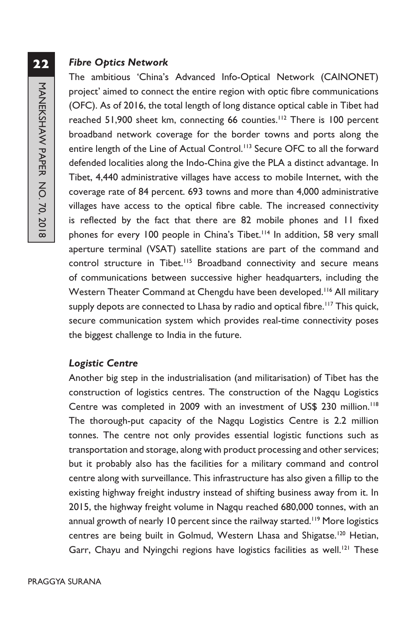#### *Fibre Optics Network*

The ambitious 'China's Advanced Info-Optical Network (CAINONET) project' aimed to connect the entire region with optic fibre communications (OFC). As of 2016, the total length of long distance optical cable in Tibet had reached 51,900 sheet km, connecting 66 counties.<sup>112</sup> There is 100 percent broadband network coverage for the border towns and ports along the entire length of the Line of Actual Control.<sup>113</sup> Secure OFC to all the forward defended localities along the Indo-China give the PLA a distinct advantage. In Tibet, 4,440 administrative villages have access to mobile Internet, with the coverage rate of 84 percent. 693 towns and more than 4,000 administrative villages have access to the optical fibre cable. The increased connectivity is reflected by the fact that there are 82 mobile phones and 11 fixed phones for every 100 people in China's Tibet.<sup>114</sup> In addition, 58 very small aperture terminal (VSAT) satellite stations are part of the command and control structure in Tibet.<sup>115</sup> Broadband connectivity and secure means of communications between successive higher headquarters, including the Western Theater Command at Chengdu have been developed.<sup>116</sup> All military supply depots are connected to Lhasa by radio and optical fibre.<sup>117</sup> This quick, secure communication system which provides real-time connectivity poses the biggest challenge to India in the future.

#### *Logistic Centre*

Another big step in the industrialisation (and militarisation) of Tibet has the construction of logistics centres. The construction of the Nagqu Logistics Centre was completed in 2009 with an investment of US\$ 230 million.<sup>118</sup> The thorough-put capacity of the Nagqu Logistics Centre is 2.2 million tonnes. The centre not only provides essential logistic functions such as transportation and storage, along with product processing and other services; but it probably also has the facilities for a military command and control centre along with surveillance. This infrastructure has also given a fillip to the existing highway freight industry instead of shifting business away from it. In 2015, the highway freight volume in Nagqu reached 680,000 tonnes, with an annual growth of nearly 10 percent since the railway started.<sup>119</sup> More logistics centres are being built in Golmud, Western Lhasa and Shigatse.<sup>120</sup> Hetian, Garr, Chayu and Nyingchi regions have logistics facilities as well.<sup>121</sup> These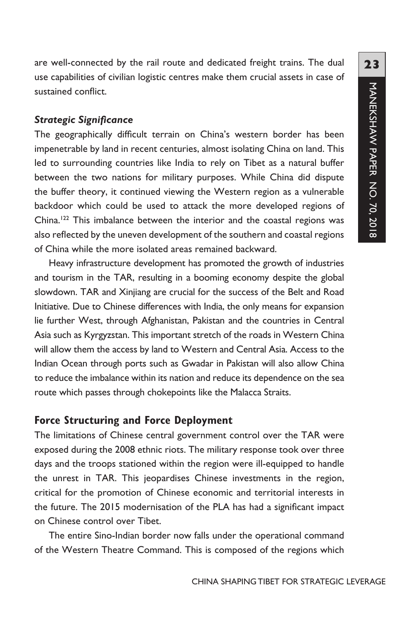are well-connected by the rail route and dedicated freight trains. The dual use capabilities of civilian logistic centres make them crucial assets in case of sustained conflict.

#### *Strategic Significance*

The geographically difficult terrain on China's western border has been impenetrable by land in recent centuries, almost isolating China on land. This led to surrounding countries like India to rely on Tibet as a natural buffer between the two nations for military purposes. While China did dispute the buffer theory, it continued viewing the Western region as a vulnerable backdoor which could be used to attack the more developed regions of China.<sup>122</sup> This imbalance between the interior and the coastal regions was also reflected by the uneven development of the southern and coastal regions of China while the more isolated areas remained backward.

Heavy infrastructure development has promoted the growth of industries and tourism in the TAR, resulting in a booming economy despite the global slowdown. TAR and Xinjiang are crucial for the success of the Belt and Road Initiative. Due to Chinese differences with India, the only means for expansion lie further West, through Afghanistan, Pakistan and the countries in Central Asia such as Kyrgyzstan. This important stretch of the roads in Western China will allow them the access by land to Western and Central Asia. Access to the Indian Ocean through ports such as Gwadar in Pakistan will also allow China to reduce the imbalance within its nation and reduce its dependence on the sea route which passes through chokepoints like the Malacca Straits.

### **Force Structuring and Force Deployment**

The limitations of Chinese central government control over the TAR were exposed during the 2008 ethnic riots. The military response took over three days and the troops stationed within the region were ill-equipped to handle the unrest in TAR. This jeopardises Chinese investments in the region, critical for the promotion of Chinese economic and territorial interests in the future. The 2015 modernisation of the PLA has had a significant impact on Chinese control over Tibet.

The entire Sino-Indian border now falls under the operational command of the Western Theatre Command. This is composed of the regions which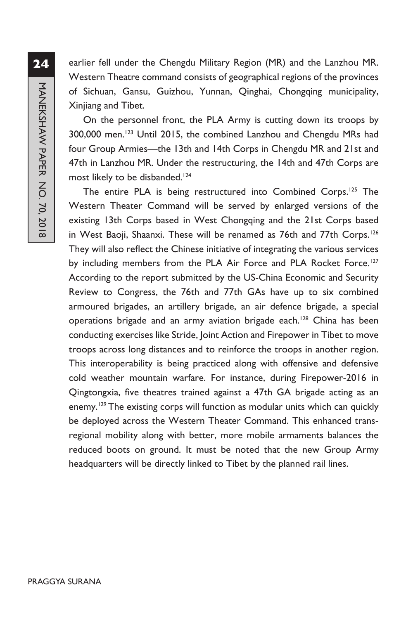earlier fell under the Chengdu Military Region (MR) and the Lanzhou MR. Western Theatre command consists of geographical regions of the provinces of Sichuan, Gansu, Guizhou, Yunnan, Qinghai, Chongqing municipality, Xinjiang and Tibet.

On the personnel front, the PLA Army is cutting down its troops by 300,000 men.123 Until 2015, the combined Lanzhou and Chengdu MRs had four Group Armies—the 13th and 14th Corps in Chengdu MR and 21st and 47th in Lanzhou MR. Under the restructuring, the 14th and 47th Corps are most likely to be disbanded.<sup>124</sup>

The entire PLA is being restructured into Combined Corps.125 The Western Theater Command will be served by enlarged versions of the existing 13th Corps based in West Chongqing and the 21st Corps based in West Baoji, Shaanxi. These will be renamed as 76th and 77th Corps.<sup>126</sup> They will also reflect the Chinese initiative of integrating the various services by including members from the PLA Air Force and PLA Rocket Force.<sup>127</sup> According to the report submitted by the US-China Economic and Security Review to Congress, the 76th and 77th GAs have up to six combined armoured brigades, an artillery brigade, an air defence brigade, a special operations brigade and an army aviation brigade each.<sup>128</sup> China has been conducting exercises like Stride, Joint Action and Firepower in Tibet to move troops across long distances and to reinforce the troops in another region. This interoperability is being practiced along with offensive and defensive cold weather mountain warfare. For instance, during Firepower-2016 in Qingtongxia, five theatres trained against a 47th GA brigade acting as an enemy.<sup>129</sup> The existing corps will function as modular units which can quickly be deployed across the Western Theater Command. This enhanced transregional mobility along with better, more mobile armaments balances the reduced boots on ground. It must be noted that the new Group Army headquarters will be directly linked to Tibet by the planned rail lines.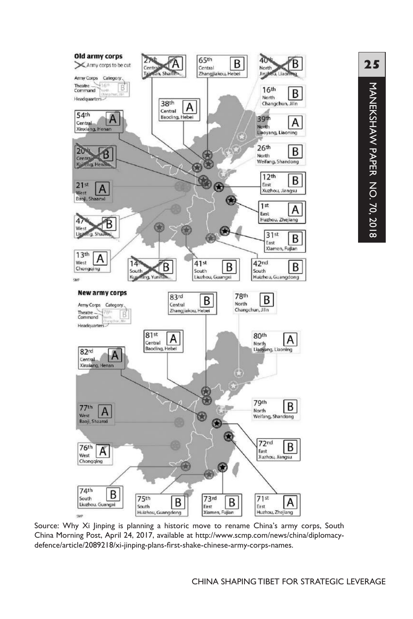

Source: Why Xi Jinping is planning a historic move to rename China's army corps, South China Morning Post, April 24, 2017, available at http://www.scmp.com/news/china/diplomacydefence/article/2089218/xi-jinping-plans-first-shake-chinese-army-corps-names.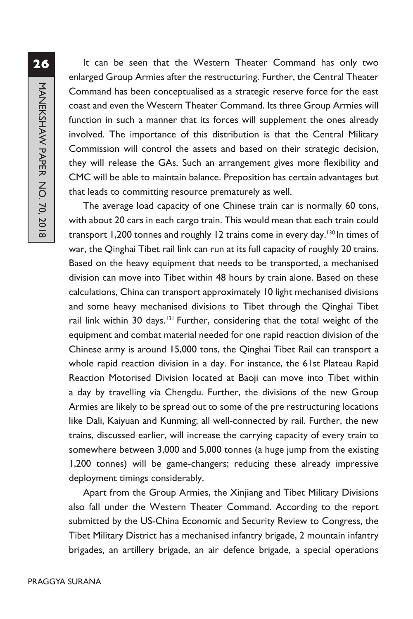It can be seen that the Western Theater Command has only two enlarged Group Armies after the restructuring. Further, the Central Theater Command has been conceptualised as a strategic reserve force for the east coast and even the Western Theater Command. Its three Group Armies will function in such a manner that its forces will supplement the ones already involved. The importance of this distribution is that the Central Military Commission will control the assets and based on their strategic decision, they will release the GAs. Such an arrangement gives more flexibility and CMC will be able to maintain balance. Preposition has certain advantages but that leads to committing resource prematurely as well.

The average load capacity of one Chinese train car is normally 60 tons, with about 20 cars in each cargo train. This would mean that each train could transport 1,200 tonnes and roughly 12 trains come in every day.<sup>130</sup> In times of war, the Qinghai Tibet rail link can run at its full capacity of roughly 20 trains. Based on the heavy equipment that needs to be transported, a mechanised division can move into Tibet within 48 hours by train alone. Based on these calculations, China can transport approximately 10 light mechanised divisions and some heavy mechanised divisions to Tibet through the Qinghai Tibet rail link within 30 days.<sup>131</sup> Further, considering that the total weight of the equipment and combat material needed for one rapid reaction division of the Chinese army is around 15,000 tons, the Qinghai Tibet Rail can transport a whole rapid reaction division in a day. For instance, the 61st Plateau Rapid Reaction Motorised Division located at Baoji can move into Tibet within a day by travelling via Chengdu. Further, the divisions of the new Group Armies are likely to be spread out to some of the pre restructuring locations like Dali, Kaiyuan and Kunming; all well-connected by rail. Further, the new trains, discussed earlier, will increase the carrying capacity of every train to somewhere between 3,000 and 5,000 tonnes (a huge jump from the existing 1,200 tonnes) will be game-changers; reducing these already impressive deployment timings considerably.

Apart from the Group Armies, the Xinjiang and Tibet Military Divisions also fall under the Western Theater Command. According to the report submitted by the US-China Economic and Security Review to Congress, the Tibet Military District has a mechanised infantry brigade, 2 mountain infantry brigades, an artillery brigade, an air defence brigade, a special operations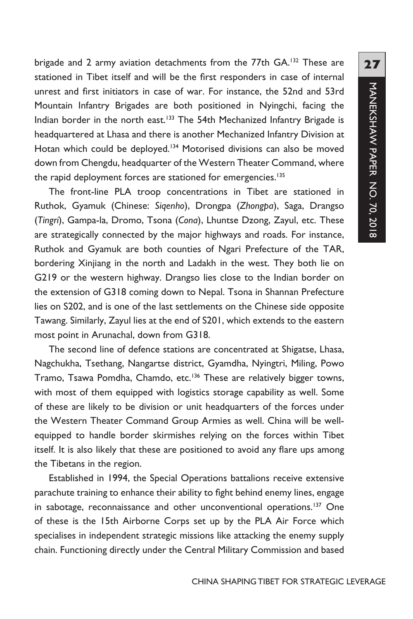brigade and 2 army aviation detachments from the 77th GA.<sup>132</sup> These are stationed in Tibet itself and will be the first responders in case of internal unrest and first initiators in case of war. For instance, the 52nd and 53rd Mountain Infantry Brigades are both positioned in Nyingchi, facing the Indian border in the north east.<sup>133</sup> The 54th Mechanized Infantry Brigade is headquartered at Lhasa and there is another Mechanized Infantry Division at Hotan which could be deployed.<sup>134</sup> Motorised divisions can also be moved down from Chengdu, headquarter of the Western Theater Command, where the rapid deployment forces are stationed for emergencies.<sup>135</sup>

The front-line PLA troop concentrations in Tibet are stationed in Ruthok, Gyamuk (Chinese: *Siqenho*), Drongpa (*Zhongpa*), Saga, Drangso (*Tingri*), Gampa-la, Dromo, Tsona (*Cona*), Lhuntse Dzong, Zayul, etc. These are strategically connected by the major highways and roads. For instance, Ruthok and Gyamuk are both counties of Ngari Prefecture of the TAR, bordering Xinjiang in the north and Ladakh in the west. They both lie on G219 or the western highway. Drangso lies close to the Indian border on the extension of G318 coming down to Nepal. Tsona in Shannan Prefecture lies on S202, and is one of the last settlements on the Chinese side opposite Tawang. Similarly, Zayul lies at the end of S201, which extends to the eastern most point in Arunachal, down from G318.

The second line of defence stations are concentrated at Shigatse, Lhasa, Nagchukha, Tsethang, Nangartse district, Gyamdha, Nyingtri, Miling, Powo Tramo, Tsawa Pomdha, Chamdo, etc.<sup>136</sup> These are relatively bigger towns, with most of them equipped with logistics storage capability as well. Some of these are likely to be division or unit headquarters of the forces under the Western Theater Command Group Armies as well. China will be wellequipped to handle border skirmishes relying on the forces within Tibet itself. It is also likely that these are positioned to avoid any flare ups among the Tibetans in the region.

Established in 1994, the Special Operations battalions receive extensive parachute training to enhance their ability to fight behind enemy lines, engage in sabotage, reconnaissance and other unconventional operations.<sup>137</sup> One of these is the 15th Airborne Corps set up by the PLA Air Force which specialises in independent strategic missions like attacking the enemy supply chain. Functioning directly under the Central Military Commission and based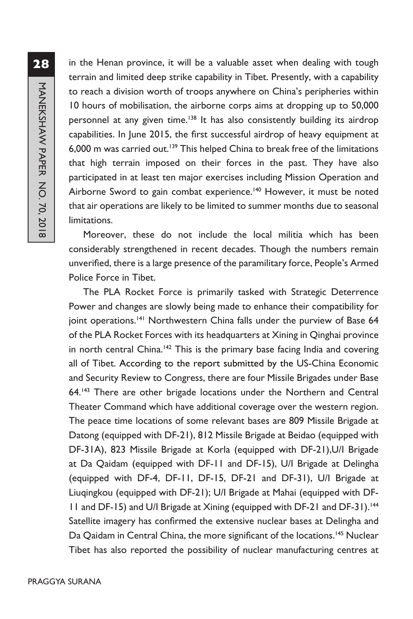**28**MANEKSHAW PAPER NO. 70, 2018 MANEKSHAW PAPER NO. 70, 2018

in the Henan province, it will be a valuable asset when dealing with tough terrain and limited deep strike capability in Tibet. Presently, with a capability to reach a division worth of troops anywhere on China's peripheries within 10 hours of mobilisation, the airborne corps aims at dropping up to 50,000 personnel at any given time.<sup>138</sup> It has also consistently building its airdrop capabilities. In June 2015, the first successful airdrop of heavy equipment at 6,000 m was carried out.<sup>139</sup> This helped China to break free of the limitations that high terrain imposed on their forces in the past. They have also participated in at least ten major exercises including Mission Operation and Airborne Sword to gain combat experience.<sup>140</sup> However, it must be noted that air operations are likely to be limited to summer months due to seasonal limitations.

Moreover, these do not include the local militia which has been considerably strengthened in recent decades. Though the numbers remain unverified, there is a large presence of the paramilitary force, People's Armed Police Force in Tibet.

The PLA Rocket Force is primarily tasked with Strategic Deterrence Power and changes are slowly being made to enhance their compatibility for joint operations.<sup>141</sup> Northwestern China falls under the purview of Base 64 of the PLA Rocket Forces with its headquarters at Xining in Qinghai province in north central China.<sup>142</sup> This is the primary base facing India and covering all of Tibet. According to the report submitted by the US-China Economic and Security Review to Congress, there are four Missile Brigades under Base 64.143 There are other brigade locations under the Northern and Central Theater Command which have additional coverage over the western region. The peace time locations of some relevant bases are 809 Missile Brigade at Datong (equipped with DF-21), 812 Missile Brigade at Beidao (equipped with DF-31A), 823 Missile Brigade at Korla (equipped with DF-21),U/I Brigade at Da Qaidam (equipped with DF-11 and DF-15), U/I Brigade at Delingha (equipped with DF-4, DF-11, DF-15, DF-21 and DF-31), U/I Brigade at Liuqingkou (equipped with DF-21); U/I Brigade at Mahai (equipped with DF-11 and DF-15) and U/I Brigade at Xining (equipped with DF-21 and DF-31).<sup>144</sup> Satellite imagery has confirmed the extensive nuclear bases at Delingha and Da Qaidam in Central China, the more significant of the locations.<sup>145</sup> Nuclear Tibet has also reported the possibility of nuclear manufacturing centres at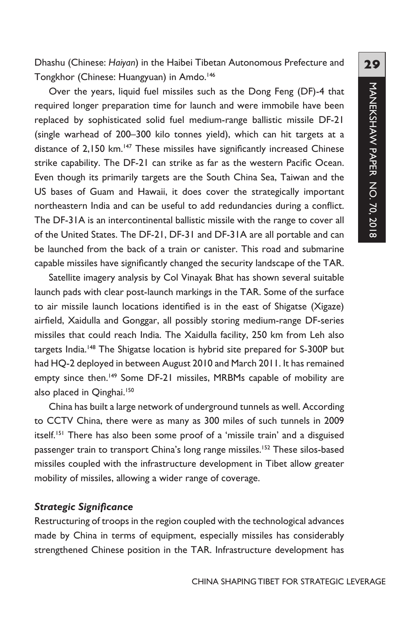Dhashu (Chinese: *Haiyan*) in the Haibei Tibetan Autonomous Prefecture and Tongkhor (Chinese: Huangyuan) in Amdo.<sup>146</sup>

Over the years, liquid fuel missiles such as the Dong Feng (DF)-4 that required longer preparation time for launch and were immobile have been replaced by sophisticated solid fuel medium-range ballistic missile DF-21 (single warhead of 200–300 kilo tonnes yield), which can hit targets at a distance of 2,150 km.<sup>147</sup> These missiles have significantly increased Chinese strike capability. The DF-21 can strike as far as the western Pacific Ocean. Even though its primarily targets are the South China Sea, Taiwan and the US bases of Guam and Hawaii, it does cover the strategically important northeastern India and can be useful to add redundancies during a conflict. The DF-31A is an intercontinental ballistic missile with the range to cover all of the United States. The DF-21, DF-31 and DF-31A are all portable and can be launched from the back of a train or canister. This road and submarine capable missiles have significantly changed the security landscape of the TAR.

Satellite imagery analysis by Col Vinayak Bhat has shown several suitable launch pads with clear post-launch markings in the TAR. Some of the surface to air missile launch locations identified is in the east of Shigatse (Xigaze) airfield, Xaidulla and Gonggar, all possibly storing medium-range DF-series missiles that could reach India. The Xaidulla facility, 250 km from Leh also targets India.<sup>148</sup> The Shigatse location is hybrid site prepared for S-300P but had HQ-2 deployed in between August 2010 and March 2011. It has remained empty since then.<sup>149</sup> Some DF-21 missiles, MRBMs capable of mobility are also placed in Qinghai.<sup>150</sup>

China has built a large network of underground tunnels as well. According to CCTV China, there were as many as 300 miles of such tunnels in 2009 itself.<sup>151</sup> There has also been some proof of a 'missile train' and a disguised passenger train to transport China's long range missiles.<sup>152</sup> These silos-based missiles coupled with the infrastructure development in Tibet allow greater mobility of missiles, allowing a wider range of coverage.

#### *Strategic Significance*

Restructuring of troops in the region coupled with the technological advances made by China in terms of equipment, especially missiles has considerably strengthened Chinese position in the TAR. Infrastructure development has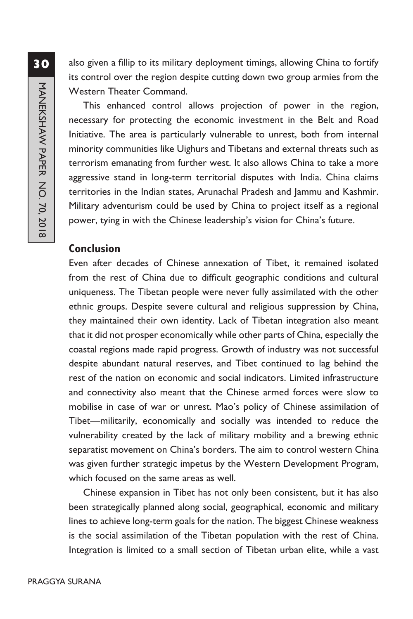also given a fillip to its military deployment timings, allowing China to fortify its control over the region despite cutting down two group armies from the Western Theater Command.

This enhanced control allows projection of power in the region, necessary for protecting the economic investment in the Belt and Road Initiative. The area is particularly vulnerable to unrest, both from internal minority communities like Uighurs and Tibetans and external threats such as terrorism emanating from further west. It also allows China to take a more aggressive stand in long-term territorial disputes with India. China claims territories in the Indian states, Arunachal Pradesh and Jammu and Kashmir. Military adventurism could be used by China to project itself as a regional power, tying in with the Chinese leadership's vision for China's future.

#### **Conclusion**

Even after decades of Chinese annexation of Tibet, it remained isolated from the rest of China due to difficult geographic conditions and cultural uniqueness. The Tibetan people were never fully assimilated with the other ethnic groups. Despite severe cultural and religious suppression by China, they maintained their own identity. Lack of Tibetan integration also meant that it did not prosper economically while other parts of China, especially the coastal regions made rapid progress. Growth of industry was not successful despite abundant natural reserves, and Tibet continued to lag behind the rest of the nation on economic and social indicators. Limited infrastructure and connectivity also meant that the Chinese armed forces were slow to mobilise in case of war or unrest. Mao's policy of Chinese assimilation of Tibet—militarily, economically and socially was intended to reduce the vulnerability created by the lack of military mobility and a brewing ethnic separatist movement on China's borders. The aim to control western China was given further strategic impetus by the Western Development Program, which focused on the same areas as well.

Chinese expansion in Tibet has not only been consistent, but it has also been strategically planned along social, geographical, economic and military lines to achieve long-term goals for the nation. The biggest Chinese weakness is the social assimilation of the Tibetan population with the rest of China. Integration is limited to a small section of Tibetan urban elite, while a vast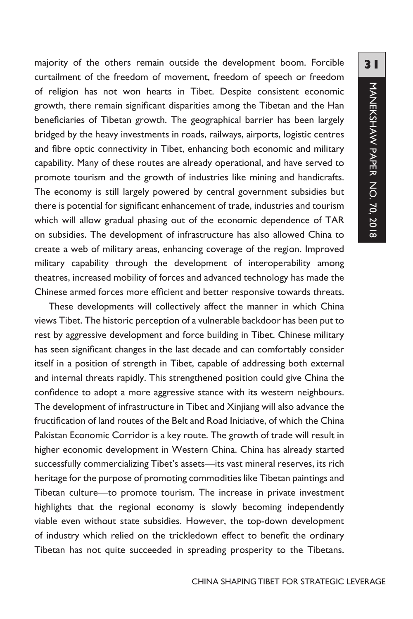majority of the others remain outside the development boom. Forcible curtailment of the freedom of movement, freedom of speech or freedom of religion has not won hearts in Tibet. Despite consistent economic growth, there remain significant disparities among the Tibetan and the Han beneficiaries of Tibetan growth. The geographical barrier has been largely bridged by the heavy investments in roads, railways, airports, logistic centres and fibre optic connectivity in Tibet, enhancing both economic and military capability. Many of these routes are already operational, and have served to promote tourism and the growth of industries like mining and handicrafts. The economy is still largely powered by central government subsidies but there is potential for significant enhancement of trade, industries and tourism which will allow gradual phasing out of the economic dependence of TAR on subsidies. The development of infrastructure has also allowed China to create a web of military areas, enhancing coverage of the region. Improved military capability through the development of interoperability among theatres, increased mobility of forces and advanced technology has made the Chinese armed forces more efficient and better responsive towards threats.

These developments will collectively affect the manner in which China views Tibet. The historic perception of a vulnerable backdoor has been put to rest by aggressive development and force building in Tibet. Chinese military has seen significant changes in the last decade and can comfortably consider itself in a position of strength in Tibet, capable of addressing both external and internal threats rapidly. This strengthened position could give China the confidence to adopt a more aggressive stance with its western neighbours. The development of infrastructure in Tibet and Xinjiang will also advance the fructification of land routes of the Belt and Road Initiative, of which the China Pakistan Economic Corridor is a key route. The growth of trade will result in higher economic development in Western China. China has already started successfully commercializing Tibet's assets—its vast mineral reserves, its rich heritage for the purpose of promoting commodities like Tibetan paintings and Tibetan culture—to promote tourism. The increase in private investment highlights that the regional economy is slowly becoming independently viable even without state subsidies. However, the top-down development of industry which relied on the trickledown effect to benefit the ordinary Tibetan has not quite succeeded in spreading prosperity to the Tibetans.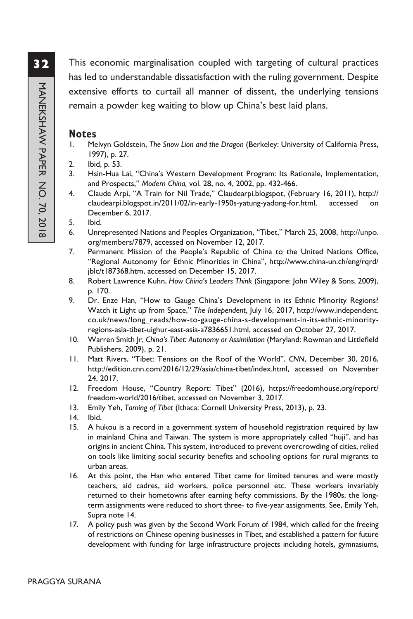This economic marginalisation coupled with targeting of cultural practices has led to understandable dissatisfaction with the ruling government. Despite extensive efforts to curtail all manner of dissent, the underlying tensions remain a powder keg waiting to blow up China's best laid plans.

#### **Notes**

- 1. Melvyn Goldstein, *The Snow Lion and the Dragon* (Berkeley: University of California Press, 1997), p. 27.
- 2. Ibid, p. 53.
- 3. Hsin-Hua Lai, "China's Western Development Program: Its Rationale, Implementation, and Prospects," *Modern China,* vol. 28, no. 4, 2002, pp. 432-466.
- 4. Claude Arpi, "A Train for Nil Trade," Claudearpi.blogspot, (February 16, 2011), http:// claudearpi.blogspot.in/2011/02/in-early-1950s-yatung-yadong-for.html, accessed on December 6, 2017.
- 5. Ibid.
- 6. Unrepresented Nations and Peoples Organization, "Tibet," March 25, 2008, http://unpo. org/members/7879, accessed on November 12, 2017.
- 7. Permanent Mission of the People's Republic of China to the United Nations Office, "Regional Autonomy for Ethnic Minorities in China", http://www.china-un.ch/eng/rqrd/ jblc/t187368.htm, accessed on December 15, 2017.
- 8. Robert Lawrence Kuhn, *How China's Leaders Think* (Singapore: John Wiley & Sons, 2009), p. 170.
- 9. Dr. Enze Han, "How to Gauge China's Development in its Ethnic Minority Regions? Watch it Light up from Space," *The Independent*, July 16, 2017, http://www.independent. co.uk/news/long\_reads/how-to-gauge-china-s-development-in-its-ethnic-minorityregions-asia-tibet-uighur-east-asia-a7836651.html, accessed on October 27, 2017.
- 10. Warren Smith Jr, *China's Tibet: Autonomy or Assimilation* (Maryland: Rowman and Littlefield Publishers, 2009), p. 21.
- 11. Matt Rivers, "Tibet: Tensions on the Roof of the World", *CNN*, December 30, 2016, http://edition.cnn.com/2016/12/29/asia/china-tibet/index.html, accessed on November 24, 2017.
- 12. Freedom House, "Country Report: Tibet" (2016), https://freedomhouse.org/report/ freedom-world/2016/tibet, accessed on November 3, 2017.
- 13. Emily Yeh, *Taming of Tibet* (Ithaca: Cornell University Press, 2013), p. 23.
- 14. Ibid.
- 15. A hukou is a record in a government system of household registration required by law in mainland China and Taiwan. The system is more appropriately called "huji", and has origins in ancient China. This system, introduced to prevent overcrowding of cities, relied on tools like limiting social security benefits and schooling options for rural migrants to urban areas.
- 16. At this point, the Han who entered Tibet came for limited tenures and were mostly teachers, aid cadres, aid workers, police personnel etc. These workers invariably returned to their hometowns after earning hefty commissions. By the 1980s, the longterm assignments were reduced to short three- to five-year assignments. See, Emily Yeh, Supra note 14.
- 17. A policy push was given by the Second Work Forum of 1984, which called for the freeing of restrictions on Chinese opening businesses in Tibet, and established a pattern for future development with funding for large infrastructure projects including hotels, gymnasiums,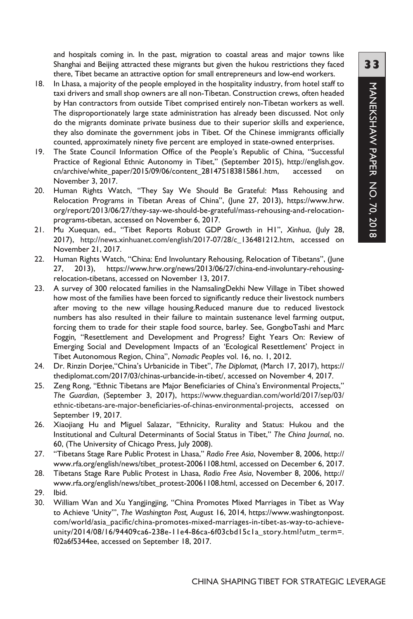and hospitals coming in. In the past, migration to coastal areas and major towns like Shanghai and Beijing attracted these migrants but given the hukou restrictions they faced there, Tibet became an attractive option for small entrepreneurs and low-end workers.

- 18. In Lhasa, a majority of the people employed in the hospitality industry, from hotel staff to taxi drivers and small shop owners are all non-Tibetan. Construction crews, often headed by Han contractors from outside Tibet comprised entirely non-Tibetan workers as well. The disproportionately large state administration has already been discussed. Not only do the migrants dominate private business due to their superior skills and experience, they also dominate the government jobs in Tibet. Of the Chinese immigrants officially counted, approximately ninety five percent are employed in state-owned enterprises.
- 19. The State Council Information Office of the People's Republic of China, "Successful Practice of Regional Ethnic Autonomy in Tibet," (September 2015), http://english.gov. cn/archive/white\_paper/2015/09/06/content\_281475183815861.htm, accessed on November 3, 2017.
- 20. Human Rights Watch, "They Say We Should Be Grateful: Mass Rehousing and Relocation Programs in Tibetan Areas of China", (June 27, 2013), https://www.hrw. org/report/2013/06/27/they-say-we-should-be-grateful/mass-rehousing-and-relocationprograms-tibetan, accessed on November 6, 2017.
- 21. Mu Xuequan, ed., "Tibet Reports Robust GDP Growth in H1", *Xinhua*, (July 28, 2017), http://news.xinhuanet.com/english/2017-07/28/c\_136481212.htm, accessed on November 21, 2017.
- 22. Human Rights Watch, "China: End Involuntary Rehousing, Relocation of Tibetans", (June 27, 2013), https://www.hrw.org/news/2013/06/27/china-end-involuntary-rehousingrelocation-tibetans, accessed on November 13, 2017.
- 23. A survey of 300 relocated families in the NamsalingDekhi New Village in Tibet showed how most of the families have been forced to significantly reduce their livestock numbers after moving to the new village housing.Reduced manure due to reduced livestock numbers has also resulted in their failure to maintain sustenance level farming output, forcing them to trade for their staple food source, barley. See, GongboTashi and Marc Foggin*,* "Resettlement and Development and Progress? Eight Years On: Review of Emerging Social and Development Impacts of an 'Ecological Resettlement' Project in Tibet Autonomous Region, China", *Nomadic Peoples* vol. 16, no. 1, 2012.
- 24. Dr. Rinzin Dorjee,"China's Urbanicide in Tibet", *The Diplomat,* (March 17, 2017), https:// thediplomat.com/2017/03/chinas-urbancide-in-tibet/, accessed on November 4, 2017.
- 25. Zeng Rong, "Ethnic Tibetans are Major Beneficiaries of China's Environmental Projects," *The Guardian*, (September 3, 2017), https://www.theguardian.com/world/2017/sep/03/ ethnic-tibetans-are-major-beneficiaries-of-chinas-environmental-projects, accessed on September 19, 2017.
- 26. Xiaojiang Hu and Miguel Salazar, "Ethnicity, Rurality and Status: Hukou and the Institutional and Cultural Determinants of Social Status in Tibet," *The China Journal*, no. 60, (The University of Chicago Press, July 2008).
- 27. "Tibetans Stage Rare Public Protest in Lhasa," *Radio Free Asia*, November 8, 2006, http:// www.rfa.org/english/news/tibet\_protest-20061108.html, accessed on December 6, 2017.
- 28. Tibetans Stage Rare Public Protest in Lhasa, *Radio Free Asia*, November 8, 2006, http:// www.rfa.org/english/news/tibet\_protest-20061108.html, accessed on December 6, 2017.
- 29. Ibid.
- 30. William Wan and Xu Yangjingjing, "China Promotes Mixed Marriages in Tibet as Way to Achieve 'Unity'", *The Washington Post,* August 16, 2014, https://www.washingtonpost. com/world/asia\_pacific/china-promotes-mixed-marriages-in-tibet-as-way-to-achieveunity/2014/08/16/94409ca6-238e-11e4-86ca-6f03cbd15c1a\_story.html?utm\_term=. f02a6f5344ee, accessed on September 18, 2017.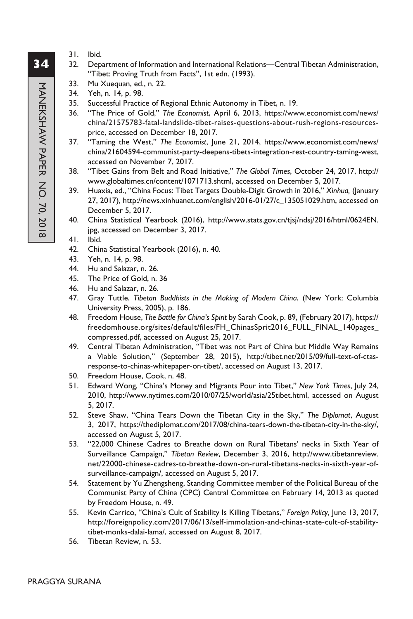- 31. Ibid.
- 32. Department of Information and International Relations—Central Tibetan Administration, "Tibet: Proving Truth from Facts", 1st edn. (1993).
	- 33. Mu Xuequan, ed., n. 22.
	- 34. Yeh, n. 14, p. 98.
- 35. Successful Practice of Regional Ethnic Autonomy in Tibet, n. 19.
- 36. "The Price of Gold," *The Economist*, April 6, 2013, https://www.economist.com/news/ china/21575783-fatal-landslide-tibet-raises-questions-about-rush-regions-resourcesprice, accessed on December 18, 2017.
- 37. "Taming the West," *The Economist*, June 21, 2014, https://www.economist.com/news/ china/21604594-communist-party-deepens-tibets-integration-rest-country-taming-west, accessed on November 7, 2017.
- 38. "Tibet Gains from Belt and Road Initiative," *The Global Times*, October 24, 2017, http:// www.globaltimes.cn/content/1071713.shtml, accessed on December 5, 2017.
- 39. Huaxia, ed., "China Focus: Tibet Targets Double-Digit Growth in 2016," *Xinhua,* (January 27, 2017), http://news.xinhuanet.com/english/2016-01/27/c\_135051029.htm, accessed on December 5, 2017.
- 40. China Statistical Yearbook (2016), http://www.stats.gov.cn/tjsj/ndsj/2016/html/0624EN. jpg, accessed on December 3, 2017.
- 41. Ibid.
- 42. China Statistical Yearbook (2016), n. 40.
- 43. Yeh, n. 14, p. 98.
- 44. Hu and Salazar, n. 26.
- 45. The Price of Gold, n. 36
- 46. Hu and Salazar, n. 26.
- 47. Gray Tuttle, *Tibetan Buddhists in the Making of Modern China*, (New York: Columbia University Press, 2005), p. 186.
- 48. Freedom House, *The Battle for China's Spirit* by Sarah Cook, p. 89, (February 2017), https:// freedomhouse.org/sites/default/files/FH\_ChinasSprit2016\_FULL\_FINAL\_140pages\_ compressed.pdf, accessed on August 25, 2017.
- 49. Central Tibetan Administration, "Tibet was not Part of China but Middle Way Remains a Viable Solution," (September 28, 2015), http://tibet.net/2015/09/full-text-of-ctasresponse-to-chinas-whitepaper-on-tibet/, accessed on August 13, 2017.
- 50. Freedom House, Cook, n. 48.
- 51. Edward Wong, "China's Money and Migrants Pour into Tibet," *New York Times*, July 24, 2010, http://www.nytimes.com/2010/07/25/world/asia/25tibet.html, accessed on August 5, 2017.
- 52. Steve Shaw, "China Tears Down the Tibetan City in the Sky," *The Diplomat*, August 3, 2017, https://thediplomat.com/2017/08/china-tears-down-the-tibetan-city-in-the-sky/, accessed on August 5, 2017.
- 53. "22,000 Chinese Cadres to Breathe down on Rural Tibetans' necks in Sixth Year of Surveillance Campaign," *Tibetan Review*, December 3, 2016, http://www.tibetanreview. net/22000-chinese-cadres-to-breathe-down-on-rural-tibetans-necks-in-sixth-year-ofsurveillance-campaign/, accessed on August 5, 2017.
- 54. Statement by Yu Zhengsheng, Standing Committee member of the Political Bureau of the Communist Party of China (CPC) Central Committee on February 14, 2013 as quoted by Freedom House, n. 49.
- 55. Kevin Carrico, "China's Cult of Stability Is Killing Tibetans," *Foreign Policy*, June 13, 2017, http://foreignpolicy.com/2017/06/13/self-immolation-and-chinas-state-cult-of-stabilitytibet-monks-dalai-lama/, accessed on August 8, 2017.
- 56. Tibetan Review, n. 53.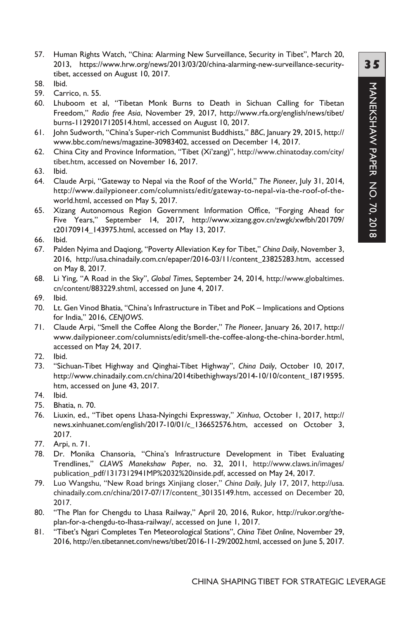- 57. Human Rights Watch, "China: Alarming New Surveillance, Security in Tibet", March 20, 2013, https://www.hrw.org/news/2013/03/20/china-alarming-new-surveillance-securitytibet, accessed on August 10, 2017.
- 58. Ibid.
- 59. Carrico, n. 55.
- 60. Lhuboom et al, "Tibetan Monk Burns to Death in Sichuan Calling for Tibetan Freedom," *Radio free Asia*, November 29, 2017, http://www.rfa.org/english/news/tibet/ burns-11292017120514.html, accessed on August 10, 2017.
- 61. John Sudworth, "China's Super-rich Communist Buddhists," *BBC*, January 29, 2015, http:// www.bbc.com/news/magazine-30983402, accessed on December 14, 2017.
- 62. China City and Province Information, "Tibet (Xi'zang)", http://www.chinatoday.com/city/ tibet.htm, accessed on November 16, 2017.
- 63. Ibid.
- 64. Claude Arpi, "Gateway to Nepal via the Roof of the World," *The Pioneer*, July 31, 2014, http://www.dailypioneer.com/columnists/edit/gateway-to-nepal-via-the-roof-of-theworld.html, accessed on May 5, 2017.
- 65. Xizang Autonomous Region Government Information Office, "Forging Ahead for Five Years," September 14, 2017, http://www.xizang.gov.cn/zwgk/xwfbh/201709/ t20170914\_143975.html, accessed on May 13, 2017.
- 66. Ibid.
- 67. Palden Nyima and Daqiong, "Poverty Alleviation Key for Tibet," *China Daily*, November 3, 2016, http://usa.chinadaily.com.cn/epaper/2016-03/11/content\_23825283.htm, accessed on May 8, 2017.
- 68. Li Ying, "A Road in the Sky", *Global Times*, September 24, 2014, http://www.globaltimes. cn/content/883229.shtml, accessed on June 4, 2017.
- 69. Ibid.
- 70. Lt. Gen Vinod Bhatia, "China's Infrastructure in Tibet and PoK Implications and Options for India," 2016, *CENJOWS*.
- 71. Claude Arpi, "Smell the Coffee Along the Border," *The Pioneer*, January 26, 2017, http:// www.dailypioneer.com/columnists/edit/smell-the-coffee-along-the-china-border.html, accessed on May 24, 2017.
- 72. Ibid.
- 73. "Sichuan-Tibet Highway and Qinghai-Tibet Highway", *China Daily*, October 10, 2017, http://www.chinadaily.com.cn/china/2014tibethighways/2014-10/10/content\_18719595. htm, accessed on June 43, 2017.
- 74. Ibid.
- 75. Bhatia, n. 70.
- 76. Liuxin, ed., "Tibet opens Lhasa-Nyingchi Expressway," *Xinhua*, October 1, 2017, http:// news.xinhuanet.com/english/2017-10/01/c\_136652576.htm, accessed on October 3, 2017.
- 77. Arpi, n. 71.
- 78. Dr. Monika Chansoria, "China's Infrastructure Development in Tibet Evaluating Trendlines," *CLAWS Manekshaw Paper*, no. 32, 2011, http://www.claws.in/images/ publication\_pdf/1317312941MP%2032%20inside.pdf, accessed on May 24, 2017.
- 79. Luo Wangshu, "New Road brings Xinjiang closer," *China Daily*, July 17, 2017, http://usa. chinadaily.com.cn/china/2017-07/17/content\_30135149.htm, accessed on December 20, 2017.
- 80. "The Plan for Chengdu to Lhasa Railway," April 20, 2016, Rukor, http://rukor.org/theplan-for-a-chengdu-to-lhasa-railway/, accessed on June 1, 2017.
- 81. "Tibet's Ngari Completes Ten Meteorological Stations", *China Tibet Online*, November 29, 2016, http://en.tibetannet.com/news/tibet/2016-11-29/2002.html, accessed on June 5, 2017.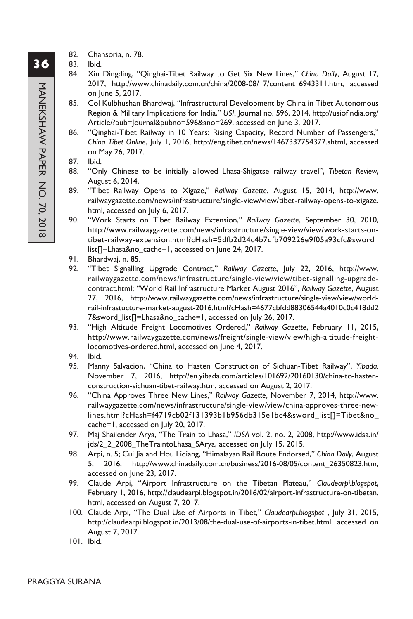- 82. Chansoria, n. 78.
- 83. Ibid.
- 84. Xin Dingding, "Qinghai-Tibet Railway to Get Six New Lines," *China Daily*, August 17, 2017, http://www.chinadaily.com.cn/china/2008-08/17/content\_6943311.htm, accessed on June 5, 2017.
- 85. Col Kulbhushan Bhardwaj, "Infrastructural Development by China in Tibet Autonomous Region & Military Implications for India," *USI*, Journal no. 596, 2014, http://usiofindia.org/ Article/?pub=Journal&pubno=596&ano=269, accessed on June 3, 2017.
- 86. "Qinghai-Tibet Railway in 10 Years: Rising Capacity, Record Number of Passengers," *China Tibet Online*, July 1, 2016, http://eng.tibet.cn/news/1467337754377.shtml, accessed on May 26, 2017.
- 87. Ibid.
- 88. "Only Chinese to be initially allowed Lhasa-Shigatse railway travel", *Tibetan Review*, August 6, 2014,
- 89. "Tibet Railway Opens to Xigaze," *Railway Gazette*, August 15, 2014, http://www. railwaygazette.com/news/infrastructure/single-view/view/tibet-railway-opens-to-xigaze. html, accessed on July 6, 2017.
- 90. "Work Starts on Tibet Railway Extension," *Railway Gazette*, September 30, 2010, http://www.railwaygazette.com/news/infrastructure/single-view/view/work-starts-ontibet-railway-extension.html?cHash=5dfb2d24c4b7dfb709226e9f05a93cfc&sword\_ list[]=Lhasa&no\_cache=1, accessed on June 24, 2017.
- 91. Bhardwaj, n. 85.
- 92. "Tibet Signalling Upgrade Contract," *Railway Gazette*, July 22, 2016, http://www. railwaygazette.com/news/infrastructure/single-view/view/tibet-signalling-upgradecontract.html; "World Rail Infrastructure Market August 2016", *Railway Gazette*, August 27, 2016, http://www.railwaygazette.com/news/infrastructure/single-view/view/worldrail-infrastucture-market-august-2016.html?cHash=4677cbfdd88306544a4010c0c418dd2 7&sword\_list[]=Lhasa&no\_cache=1, accessed on July 26, 2017.
- 93. "High Altitude Freight Locomotives Ordered," *Railway Gazette*, February 11, 2015, http://www.railwaygazette.com/news/freight/single-view/view/high-altitude-freightlocomotives-ordered.html, accessed on June 4, 2017.
- 94. Ibid.
- 95. Manny Salvacion, "China to Hasten Construction of Sichuan-Tibet Railway", *Yibada,*  November 7, 2016, http://en.yibada.com/articles/101692/20160130/china-to-hastenconstruction-sichuan-tibet-railway.htm, accessed on August 2, 2017.
- 96. "China Approves Three New Lines," *Railway Gazette*, November 7, 2014, http://www. railwaygazette.com/news/infrastructure/single-view/view/china-approves-three-newlines.html?cHash=f4719cb02f131393b1b956db315e1bc4&sword\_list[]=Tibet&no\_ cache=1, accessed on July 20, 2017.
- 97. Maj Shailender Arya, "The Train to Lhasa," *IDSA* vol. 2, no. 2, 2008, http://www.idsa.in/ jds/2\_2\_2008\_TheTraintoLhasa\_SArya, accessed on July 15, 2015.
- 98. Arpi, n. 5; Cui Jia and Hou Liqiang, "Himalayan Rail Route Endorsed," *China Daily*, August 5, 2016, http://www.chinadaily.com.cn/business/2016-08/05/content\_26350823.htm, accessed on June 23, 2017.
- 99. Claude Arpi, "Airport Infrastructure on the Tibetan Plateau," *Claudearpi.blogspot*, February 1, 2016, http://claudearpi.blogspot.in/2016/02/airport-infrastructure-on-tibetan. html, accessed on August 7, 2017.
- 100. Claude Arpi, "The Dual Use of Airports in Tibet," *Claudearpi.blogspot* , July 31, 2015, http://claudearpi.blogspot.in/2013/08/the-dual-use-of-airports-in-tibet.html, accessed on August 7, 2017.
- 101. Ibid.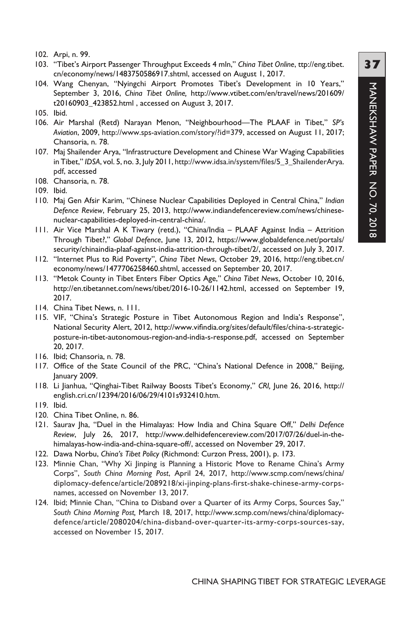- 102. Arpi, n. 99.
- 103. "Tibet's Airport Passenger Throughput Exceeds 4 mln," *China Tibet Online*, ttp://eng.tibet. cn/economy/news/1483750586917.shtml, accessed on August 1, 2017.
- 104. Wang Chenyan, "Nyingchi Airport Promotes Tibet's Development in 10 Years," September 3, 2016, *China Tibet Online,* http://www.vtibet.com/en/travel/news/201609/ t20160903\_423852.html , accessed on August 3, 2017.
- 105. Ibid.
- 106. Air Marshal (Retd) Narayan Menon, "Neighbourhood—The PLAAF in Tibet," *SP's Aviation*, 2009, http://www.sps-aviation.com/story/?id=379, accessed on August 11, 2017; Chansoria, n. 78.
- 107. Maj Shailender Arya, "Infrastructure Development and Chinese War Waging Capabilities in Tibet," *IDSA*, vol. 5, no. 3, July 2011, http://www.idsa.in/system/files/5\_3\_ShailenderArya. pdf, accessed
- 108. Chansoria, n. 78.
- 109. Ibid.
- 110. Maj Gen Afsir Karim, "Chinese Nuclear Capabilities Deployed in Central China," *Indian Defence Review*, February 25, 2013, http://www.indiandefencereview.com/news/chinesenuclear-capabilities-deployed-in-central-china/.
- 111. Air Vice Marshal A K Tiwary (retd.), "China/India PLAAF Against India Attrition Through Tibet?," *Global Defence*, June 13, 2012, https://www.globaldefence.net/portals/ security/chinaindia-plaaf-against-india-attrition-through-tibet/2/, accessed on July 3, 2017.
- 112. "Internet Plus to Rid Poverty", *China Tibet News*, October 29, 2016, http://eng.tibet.cn/ economy/news/1477706258460.shtml, accessed on September 20, 2017.
- 113. "Metok County in Tibet Enters Fiber Optics Age," *China Tibet News*, October 10, 2016, http://en.tibetannet.com/news/tibet/2016-10-26/1142.html, accessed on September 19, 2017.
- 114. China Tibet News, n. 111.
- 115. VIF, "China's Strategic Posture in Tibet Autonomous Region and India's Response", National Security Alert, 2012, http://www.vifindia.org/sites/default/files/china-s-strategicposture-in-tibet-autonomous-region-and-india-s-response.pdf, accessed on September 20, 2017.
- 116. Ibid; Chansoria, n. 78.
- 117. Office of the State Council of the PRC, "China's National Defence in 2008," Beijing, January 2009.
- 118. Li Jianhua, "Qinghai-Tibet Railway Boosts Tibet's Economy," *CRI,* June 26, 2016, http:// english.cri.cn/12394/2016/06/29/4101s932410.htm.
- 119. Ibid.
- 120. China Tibet Online, n. 86.
- 121. Saurav Jha, "Duel in the Himalayas: How India and China Square Off," *Delhi Defence Review*, July 26, 2017, http://www.delhidefencereview.com/2017/07/26/duel-in-thehimalayas-how-india-and-china-square-off/, accessed on November 29, 2017.
- 122. Dawa Norbu, *China's Tibet Policy* (Richmond: Curzon Press, 2001), p. 173.
- 123. Minnie Chan, "Why Xi Jinping is Planning a Historic Move to Rename China's Army Corps", *South China Morning Post*, April 24, 2017, http://www.scmp.com/news/china/ diplomacy-defence/article/2089218/xi-jinping-plans-first-shake-chinese-army-corpsnames, accessed on November 13, 2017.
- 124. Ibid; Minnie Chan, "China to Disband over a Quarter of its Army Corps, Sources Say," *South China Morning Post,* March 18, 2017, http://www.scmp.com/news/china/diplomacydefence/article/2080204/china-disband-over-quarter-its-army-corps-sources-say, accessed on November 15, 2017.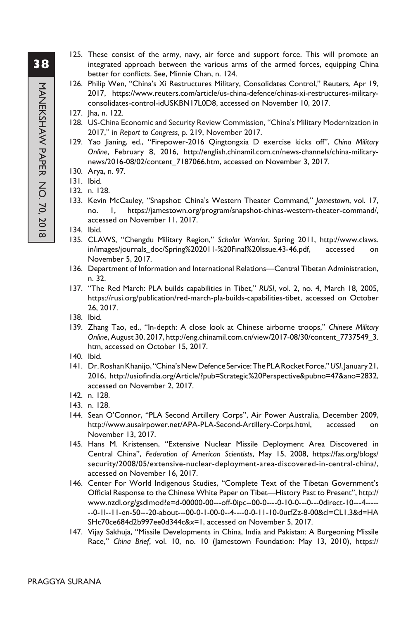- 125. These consist of the army, navy, air force and support force. This will promote an integrated approach between the various arms of the armed forces, equipping China better for conflicts. See, Minnie Chan, n. 124.
- 126. Philip Wen, "China's Xi Restructures Military, Consolidates Control," Reuters, Apr 19, 2017, https://www.reuters.com/article/us-china-defence/chinas-xi-restructures-militaryconsolidates-control-idUSKBN17L0D8, accessed on November 10, 2017.
- 127. Jha, n. 122.
- 128. US-China Economic and Security Review Commission, "China's Military Modernization in 2017," in *Report to Congress*, p. 219, November 2017.
- 129. Yao Jianing, ed., "Firepower-2016 Qingtongxia D exercise kicks off", *China Military Online*, February 8, 2016, http://english.chinamil.com.cn/news-channels/china-militarynews/2016-08/02/content\_7187066.htm, accessed on November 3, 2017.
- 130. Arya, n. 97.
- 131. Ibid.
- 132. n. 128.
- 133. Kevin McCauley, "Snapshot: China's Western Theater Command," *Jamestown*, vol. 17, no. 1, https://jamestown.org/program/snapshot-chinas-western-theater-command/, accessed on November 11, 2017.
- 134. Ibid.
- 135. CLAWS, "Chengdu Military Region," *Scholar Warrior*, Spring 2011, http://www.claws. in/images/journals\_doc/Spring%202011-%20Final%20Issue.43-46.pdf, accessed on November 5, 2017.
- 136. Department of Information and International Relations—Central Tibetan Administration, n. 32.
- 137. "The Red March: PLA builds capabilities in Tibet," *RUSI*, vol. 2, no. 4, March 18, 2005, https://rusi.org/publication/red-march-pla-builds-capabilities-tibet, accessed on October 26, 2017.
- 138. Ibid.
- 139. Zhang Tao, ed., "In-depth: A close look at Chinese airborne troops," *Chinese Military Online*, August 30, 2017, http://eng.chinamil.com.cn/view/2017-08/30/content\_7737549\_3. htm, accessed on October 15, 2017.
- 140. Ibid.
- 141. Dr. Roshan Khanijo, "China's New Defence Service: The PLA Rocket Force," *USI*, January 21, 2016, http://usiofindia.org/Article/?pub=Strategic%20Perspective&pubno=47&ano=2832, accessed on November 2, 2017.
- 142. n. 128.
- 143. n. 128.
- 144. Sean O'Connor, "PLA Second Artillery Corps", Air Power Australia, December 2009, http://www.ausairpower.net/APA-PLA-Second-Artillery-Corps.html, accessed on November 13, 2017.
- 145. Hans M. Kristensen, "Extensive Nuclear Missile Deployment Area Discovered in Central China", *Federation of American Scientists*, May 15, 2008, https://fas.org/blogs/ security/2008/05/extensive-nuclear-deployment-area-discovered-in-central-china/, accessed on November 16, 2017.
- 146. Center For World Indigenous Studies, "Complete Text of the Tibetan Government's Official Response to the Chinese White Paper on Tibet—History Past to Present", http:// www.nzdl.org/gsdlmod?e=d-00000-00---off-0ipc--00-0----0-10-0---0---0direct-10---4----- --0-1l--11-en-50---20-about---00-0-1-00-0--4----0-0-11-10-0utfZz-8-00&cl=CL1.3&d=HA SHc70ce684d2b997ee0d344c&x=1, accessed on November 5, 2017.
- 147. Vijay Sakhuja, "Missile Developments in China, India and Pakistan: A Burgeoning Missile Race," *China Brief*, vol. 10, no. 10 (Jamestown Foundation: May 13, 2010), https://

# **38**MANEKSHAW PAPER NO. 70, 2018 MANEKSHAW PAPER NO. 70, 2018